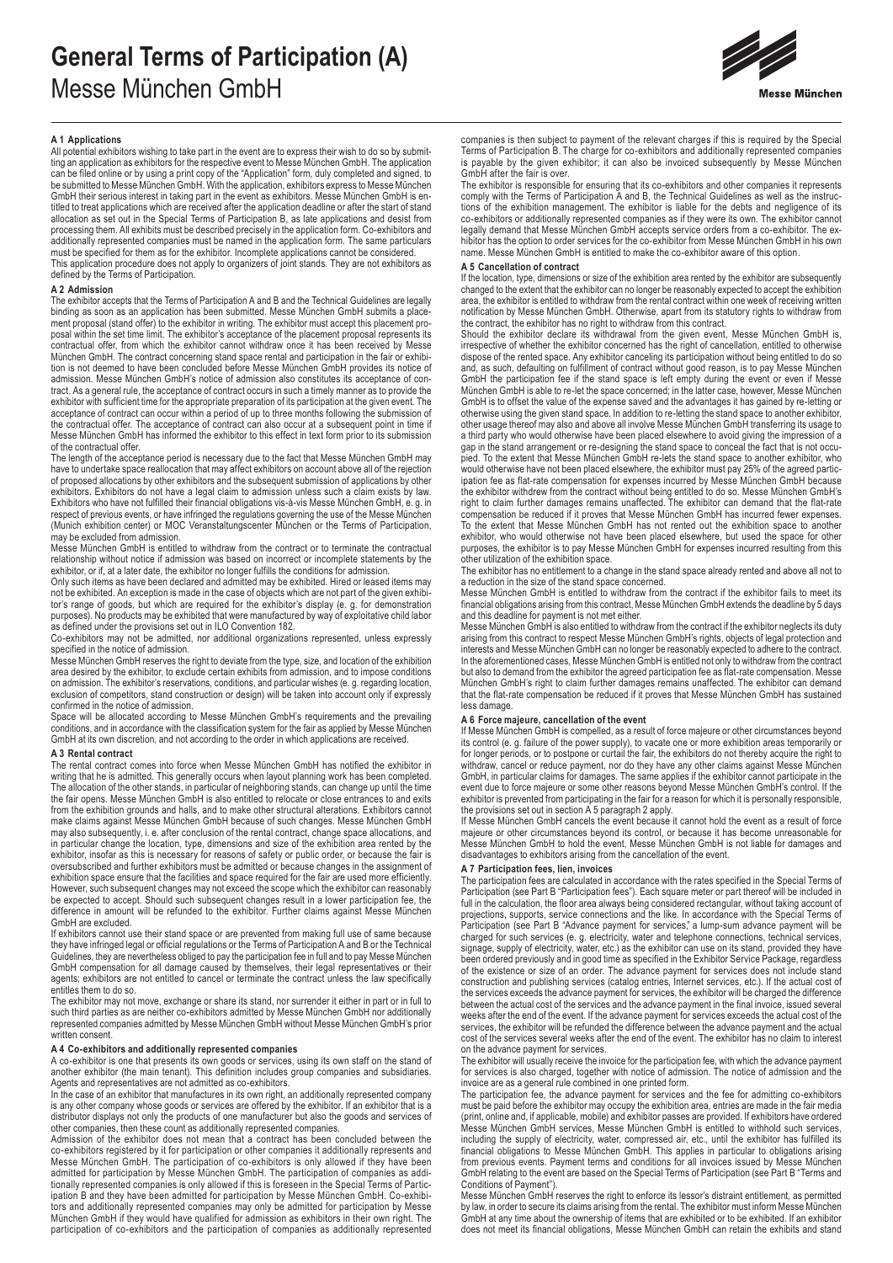

#### **A 1 Applications**

All potential exhibitors wishing to take part in the event are to express their wish to do so by submitting an application as exhibitors for the respective event to Messe München GmbH. The application can be filed online or by using a print copy of the "Application" form, duly completed and signed, to be submitted to Messe München GmbH. With the application, exhibitors express to Messe München GmbH their serious interest in taking part in the event as exhibitors. Messe München GmbH is en-titled to treat applications which are received after the application deadline or after the start of stand allocation as set out in the Special Terms of Participation B, as late applications and desist from processing them. All exhibits must be described precisely in the application form. Co-exhibitors and additionally represented companies must be named in the application form. The same particulars must be specified for them as for the exhibitor. Incomplete applications cannot be considered.

This application procedure does not apply to organizers of joint stands. They are not exhibitors as defined by the Terms of Participation.

#### **A 2 Admission**

The exhibitor accepts that the Terms of Participation A and B and the Technical Guidelines are legally binding as soon as an application has been submitted. Messe München GmbH submits a placement proposal (stand offer) to the exhibitor in writing. The exhibitor must accept this placement proposal within the set time limit. The exhibitor's acceptance of the placement proposal represents its contractual offer, from which the exhibitor cannot withdraw once it has been received by Messe München GmbH. The contract concerning stand space rental and participation in the fair or exhibition is not deemed to have been concluded before Messe München GmbH provides its notice of admission. Messe München GmbH's notice of admission also constitutes its acceptance of contract. As a general rule, the acceptance of contract occurs in such a timely manner as to provide the exhibitor with sufficient time for the appropriate preparation of its participation at the given event. The acceptance of contract can occur within a period of up to three months following the submission of the contractual offer. The acceptance of contract can also occur at a subsequent point in time if Messe München GmbH has informed the exhibitor to this effect in text form prior to its submission of the contractual offer.

The length of the acceptance period is necessary due to the fact that Messe München GmbH may have to undertake space reallocation that may affect exhibitors on account above all of the rejection of proposed allocations by other exhibitors and the subsequent submission of applications by other exhibitors. Exhibitors do not have a legal claim to admission unless such a claim exists by law. Exhibitors who have not fulfilled their financial obligations vis-à-vis Messe München GmbH, e. g. in<br>respect of previous events, or have infringed the regulations governing the use of the Messe München<br>(Munich exhibition c may be excluded from admission.

Messe München GmbH is entitled to withdraw from the contract or to terminate the contractual relationship without notice if admission was based on incorrect or incomplete statements by the

exhibitor, or if, at a later date, the exhibitor no longer fulfills the conditions for admission. Only such items as have been declared and admitted may be exhibited. Hired or leased items may not be exhibited. An exception is made in the case of objects which are not part of the given exhibitor's range of goods, but which are required for the exhibitor's display (e. g. for demonstration purposes). No products may be exhibited that were manufactured by way of exploitative child labor as defined under the provisions set out in ILO Convention 182.

Co-exhibitors may not be admitted, nor additional organizations represented, unless expressly specified in the notice of admission.

Messe München GmbH reserves the right to deviate from the type, size, and location of the exhibition area desired by the exhibitor, to exclude certain exhibits from admission, and to impose conditions on admission. The exhibitor's reservations, conditions, and particular wishes (e. g. regarding location, exclusion of competitors, stand construction or design) will be taken into account only if expressly confirmed in the notice of admission.

Space will be allocated according to Messe München GmbH's requirements and the prevailing conditions, and in accordance with the classification system for the fair as applied by Messe München GmbH at its own discretion, and not according to the order in which applications are received.

#### **A 3 Rental contract**

The rental contract comes into force when Messe München GmbH has notified the exhibitor in writing that he is admitted. This generally occurs when layout planning work has been completed. The allocation of the other stands, in particular of neighboring stands, can change up until the time the fair opens. Messe München GmbH is also entitled to relocate or close entrances to and exits from the exhibition grounds and halls, and to make other structural alterations. Exhibitors cannot make claims against Messe München GmbH because of such changes. Messe München GmbH may also subsequently, i. e. after conclusion of the rental contract, change space allocations, and in particular change the location, type, dimensions and size of the exhibition area rented by the<br>exhibitor, insofar as this is necessary for reasons of safety or public order, or because the fair is<br>oversubscribed and fur exhibition space ensure that the facilities and space required for the fair are used more efficiently.<br>However, such subsequent changes may not exceed the scope which the exhibitor can reasonably<br>be expected to accept. Sho difference in amount will be refunded to the exhibitor. Further claims against Messe München GmbH are excluded.

If exhibitors cannot use their stand space or are prevented from making full use of same because they have infringed legal or official regulations or the Terms of Participation A and B or the Technical<br>Guidelines, they are nevertheless obliged to pay the participation fee in full and to pay Messe München<br>GmbH compensa agents; exhibitors are not entitled to cancel or terminate the contract unless the law specifically entitles them to do so.

The exhibitor may not move, exchange or share its stand, nor surrender it either in part or in full to such third parties as are neither co-exhibitors admitted by Messe München GmbH nor additionally represented companies admitted by Messe München GmbH without Messe München GmbH's prior written consent

### **A 4 Co-exhibitors and additionally represented companies**

A co-exhibitor is one that presents its own goods or services, using its own staff on the stand of another exhibitor (the main tenant). This definition includes group companies and subsidiaries. Agents and representatives are not admitted as co-exhibitors.

In the case of an exhibitor that manufactures in its own right, an additionally represented company is any other company whose goods or services are offered by the exhibitor. If an exhibitor that is a distributor displays not only the products of one manufacturer but also the goods and services of other companies, then these count as additionally represented companies.

Admission of the exhibitor does not mean that a contract has been concluded between the<br>co-exhibitors registered by it for participation or other companies it additionally represents and<br>Messe München GmbH. The participati admitted for participation by Messe München GmbH. The participation of companies as addi-tionally represented companies is only allowed if this is foreseen in the Special Terms of Participation B and they have been admitted for participation by Messe München GmbH. Co-exhibitors and additionally represented companies may only be admitted for participation by Messe München GmbH if they would have qualified for admission as exhibitors in their own right. The participation of co-exhibitors and the participation of companies as additionally represented

companies is then subject to payment of the relevant charges if this is required by the Special Terms of Participation B. The charge for co-exhibitors and additionally represented companies is payable by the given exhibitor; it can also be invoiced subsequently by Messe München GmbH after the fair is over.

The exhibitor is responsible for ensuring that its co-exhibitors and other companies it represents comply with the Terms of Participation A and B, the Technical Guidelines as well as the instruc-<br>tions of the exhibition management. The exhibitor is liable for the debts and negligence of its<br>co-exhibitors or additionally legally demand that Messe München GmbH accepts service orders from a co-exhibitor. The ex-hibitor has the option to order services for the co-exhibitor from Messe München GmbH in his own name. Messe München GmbH is entitled to make the co-exhibitor aware of this option.

#### **A 5 Cancellation of contract**

If the location, type, dimensions or size of the exhibition area rented by the exhibitor are subsequently changed to the extent that the exhibitor can no longer be reasonably expected to accept the exhibition area, the exhibitor is entitled to withdraw from the rental contract within one week of receiving written notification by Messe München GmbH. Otherwise, apart from its statutory rights to withdraw from the contract, the exhibitor has no right to withdraw from this contract.

Should the exhibitor declare its withdrawal from the given event, Messe München GmbH is, irrespective of whether the exhibitor concerned has the right of cancellation, entitled to otherwise dispose of the rented space. Any exhibitor canceling its participation without being entitled to do so and, as such, defaulting on fulfillment of contract without good reason, is to pay Messe München<br>GmbH the participation fee if the stand space is left empty during the event or even if Messe<br>München GmbH is able to re-let GmbH is to offset the value of the expense saved and the advantages it has gained by re-letting or otherwise using the given stand space. In addition to re-letting the stand space to another exhibitor, other usage thereof may also and above all involve Messe München GmbH transferring its usage to a third party who would otherwise have been placed elsewhere to avoid giving the impression of a<br>gap in the stand arrangement or re-designing the stand space to conceal the fact that is not occu-<br>pied. To the extent that M would otherwise have not been placed elsewhere, the exhibitor must pay 25% of the agreed partic-ipation fee as flat-rate compensation for expenses incurred by Messe München GmbH because the exhibitor withdrew from the contract without being entitled to do so. Messe München GmbH's<br>right to claim further damages remains unaffected. The exhibitor can demand that the flat-rate<br>compensation be reduced if it pr To the extent that Messe München GmbH has not rented out the exhibition space to another exhibitor, who would otherwise not have been placed elsewhere, but used the space for other purposes, the exhibitor is to pay Messe München GmbH for expenses incurred resulting from this other utilization of the exhibition space.

The exhibitor has no entitlement to a change in the stand space already rented and above all not to a reduction in the size of the stand space concerned.

Messe München GmbH is entitled to withdraw from the contract if the exhibitor fails to meet its financial obligations arising from this contract, Messe München GmbH extends the deadline by 5 days and this deadline for payment is not met either.

Messe München GmbH is also entitled to withdraw from the contract if the exhibitor neglects its duty arising from this contract to respect Messe München GmbH's rights, objects of legal protection and<br>interests and Messe München GmbH can no longer be reasonably expected to adhere to the contract.<br>In the aforementioned case but also to demand from the exhibitor the agreed participation fee as flat-rate compensation. Messe München GmbH's right to claim further damages remains unaffected. The exhibitor can demand that the flat-rate compensation be reduced if it proves that Messe München GmbH has sustained less damage

#### **A 6 Force majeure, cancellation of the event**

If Messe München GmbH is compelled, as a result of force majeure or other circumstances beyond its control (e. g. failure of the power supply), to vacate one or more exhibition areas temporarily or for longer periods, or to postpone or curtail the fair, the exhibitors do not thereby acquire the right to withdraw, cancel or reduce payment, nor do they have any other claims against Messe München GmbH, in particular claims for damages. The same applies if the exhibitor cannot participate in the event due to force majeure or some other reasons beyond Messe München GmbH's control. If the exhibitor is prevented from participating in the fair for a reason for which it is personally responsible,

the provisions set out in section A 5 paragraph 2 apply. If Messe München GmbH cancels the event because it cannot hold the event as a result of force majeure or other circumstances beyond its control, or because it has become unreasonable for<br>Messe München GmbH to hold the event, Messe München GmbH is not liable for damages and<br>disadvantages to exhibitors arising from t

**A 7 Participation fees, lien, invoices** The participation fees are calculated in accordance with the rates specified in the Special Terms of Participation (see Part B "Participation fees"). Each square meter or part thereof will be included in full in the calculation, the floor area always being considered rectangular, without taking account of projections, supports, service connections and the like. In accordance with the Special Terms of Participation (see Part B "Advance payment for services," a lump-sum advance payment will be charged for such services (e. g. electricity, water and telephone connections, technical services, signage, supply of electricity, water, etc.) as the exhibitor can use on its stand, provided they have been ordered previously and in good time as specified in the Exhibitor Service Package, regardless of the existence or size of an order. The advance payment for services does not include stand construction and publishing services (catalog entries, Internet services, etc.). If the actual cost of the services exceeds the advance payment for services, the exhibitor will be charged the difference between the actual cost of the services and the advance payment in the final invoice, issued several weeks after the end of the event. If the advance payment for services exceeds the actual cost of the services, the exhibitor will be refunded the difference between the advance payment and the actual cost of the services several weeks after the end of the event. The exhibitor has no claim to interest on the advance payment for services.

The exhibitor will usually receive the invoice for the participation fee, with which the advance payment for services is also charged, together with notice of admission. The notice of admission and the invoice are as a general rule combined in one printed form.

The participation fee, the advance payment for services and the fee for admitting co-exhibitors must be paid before the exhibitor may occupy the exhibition area, entries are made in the fair media (print, online and, if applicable, mobile) and exhibitor passes are provided. If exhibitors have ordered Messe München GmbH services, Messe München GmbH is entitled to withhold such services, including the supply of electricity, water, compressed air, etc., until the exhibitor has fulfilled its<br>financial obligations to Messe München GmbH. This applies in particular to obligations arising<br>from previous events. P GmbH relating to the event are based on the Special Terms of Participation (see Part B "Terms and Conditions of Payment").

Messe München GmbH reserves the right to enforce its lessor's distraint entitlement, as permitted by law, in order to secure its claims arising from the rental. The exhibitor must inform Messe München GmbH at any time about the ownership of items that are exhibited or to be exhibited. If an exhibitor does not meet its financial obligations, Messe München GmbH can retain the exhibits and stand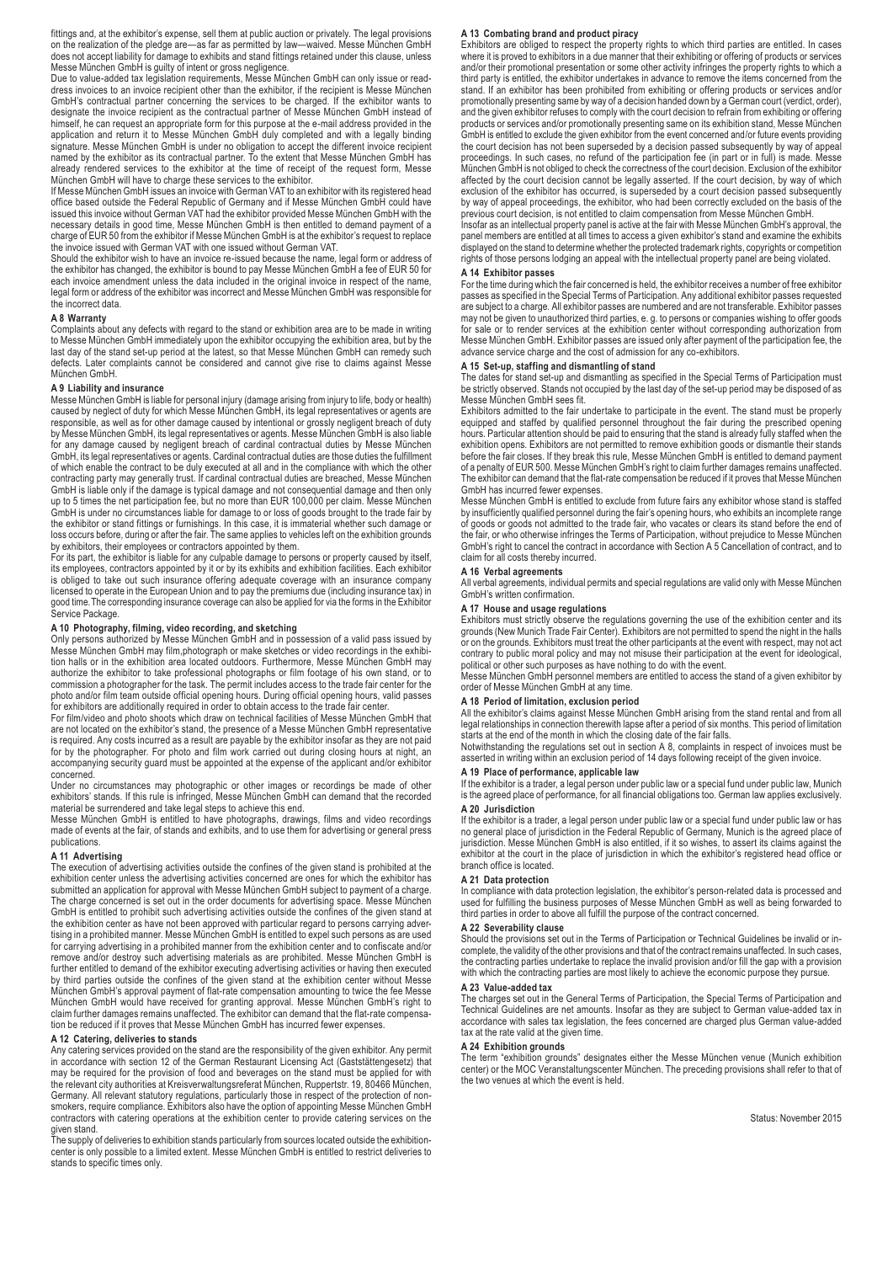fittings and, at the exhibitor's expense, sell them at public auction or privately. The legal provisions on the realization of the pledge are—as far as permitted by law—waived. Messe München GmbH does not accept liability for damage to exhibits and stand fittings retained under this clause, unless Messe München GmbH is guilty of intent or gross negligence.

Due to value-added tax legislation requirements, Messe München GmbH can only issue or read-dress invoices to an invoice recipient other than the exhibitor, if the recipient is Messe München GmbH's contractual partner concerning the services to be charged. If the exhibitor wants to designate the invoice recipient as the contractual partner of Messe München GmbH instead of<br>himself, he can request an appropriate form for this purpose at the e-mail address provided in the<br>application and return it to Me signature. Messe München GmbH is under no obligation to accept the different invoice recipient named by the exhibitor as its contractual partner. To the extent that Messe München GmbH has already rendered services to the exhibitor at the time of receipt of the request form, Messe

München GmbH will have to charge these services to the exhibitor. If Messe München GmbH issues an invoice with German VAT to an exhibitor with its registered head office based outside the Federal Republic of Germany and if Messe München GmbH could have issued this invoice without German VAT had the exhibitor provided Messe München GmbH with the necessary details in good time, Messe München GmbH is then entitled to demand payment of a charge of EUR 50 from the exhibitor if Messe München GmbH is at the exhibitor's request to replace the invoice issued with German VAT with one issued without German VAT.

Should the exhibitor wish to have an invoice re-issued because the name, legal form or address of the exhibitor has changed, the exhibitor is bound to pay Messe München GmbH a fee of EUR 50 for each invoice amendment unless the data included in the original invoice in respect of the name, legal form or address of the exhibitor was incorrect and Messe München GmbH was responsible for the incorrect data.

**A 8 Warranty** Complaints about any defects with regard to the stand or exhibition area are to be made in writing to Messe München GmbH immediately upon the exhibitor occupying the exhibition area, but by the last day of the stand set-up period at the latest, so that Messe München GmbH can remedy such defects. Later complaints cannot be considered and cannot give rise to claims against Messe München GmbH.

#### **A 9 Liability and insurance**

Messe München GmbH is liable for personal injury (damage arising from injury to life, body or health) caused by neglect of duty for which Messe München GmbH, its legal representatives or agents are<br>responsible, as well as for other damage caused by intentional or grossly negligent breach of duty<br>by Messe München GmbH, its for any damage caused by negligent breach of cardinal contractual duties by Messe München GmbH, its legal representatives or agents. Cardinal contractual duties are those duties the fulfillment of which enable the contract to be duly executed at all and in the compliance with which the other contracting party may generally trust. If cardinal contractual duties are breached, Messe München GmbH is liable only if the damage is typical damage and not consequential damage and then only up to 5 times the net participation fee, but no more than EUR 100,000 per claim. Messe München GmbH is under no circumstances liable for damage to or loss of goods brought to the trade fair by the exhibitor or stand fittings or furnishings. In this case, it is immaterial whether such damage or loss occurs before, during or after the fair. The same applies to vehicles left on the exhibition grounds by exhibitors, their employees or contractors appointed by them.

For its part, the exhibitor is liable for any culpable damage to persons or property caused by itself, its employees, contractors appointed by it or by its exhibits and exhibition facilities. Each exhibitor is obliged to take out such insurance offering adequate coverage with an insurance company licensed to operate in the European Union and to pay the premiums due (including insurance tax) in good time. The corresponding insurance coverage can also be applied for via the forms in the Exhibitor Service Package.

**A 10 Photography, filming, video recording, and sketching** Only persons authorized by Messe München GmbH and in possession of a valid pass issued by Messe München GmbH may film,photograph or make sketches or video recordings in the exhibi-tion halls or in the exhibition area located outdoors. Furthermore, Messe München GmbH may authorize the exhibitor to take professional photographs or film footage of his own stand, or to commission a photographer for the task. The permit includes access to the trade fair center for the<br>photo and/or film team outside official opening hours. During official opening hours, valid passes<br>for exhibitors are addi

For film/video and photo shoots which draw on technical facilities of Messe München GmbH that are not located on the exhibitor's stand, the presence of a Messe München GmbH representative is required. Any costs incurred as a result are payable by the exhibitor insofar as they are not paid for by the photographer. For photo and film work carried out during closing hours at night, an accompanying security guard must be appointed at the expense of the applicant and/or exhibitor concerned.

Under no circumstances may photographic or other images or recordings be made of other<br>exhibitors' stands. If this rule is infringed, Messe München GmbH can demand that the recorded<br>material be surrendered and take legal s

Messe München GmbH is entitled to have photographs, drawings, films and video recordings made of events at the fair, of stands and exhibits, and to use them for advertising or general press publications.

**A 11 Advertising** The execution of advertising activities outside the confines of the given stand is prohibited at the exhibition center unless the advertising activities concerned are ones for which the exhibitor has submitted an application for approval with Messe München GmbH subject to payment of a charge. The charge concerned is set out in the order documents for advertising space. Messe München GmbH is entitled to prohibit such advertising activities outside the confines of the given stand at the exhibition center as have not been approved with particular regard to persons carrying adver-tising in a prohibited manner. Messe München GmbH is entitled to expel such persons as are used for carrying advertising in a prohibited manner from the exhibition center and to confiscate and/or remove and/or destroy such advertising materials as are prohibited. Messe München GmbH is<br>further entitled to demand of the exhibitor executing advertising activities or having then executed<br>by third parties outside the co München GmbH's approval payment of flat-rate compensation amounting to twice the fee Messe<br>München GmbH would have received for granting approval. Messe München GmbH's right to<br>claim further damages remains unaffected. The tion be reduced if it proves that Messe München GmbH has incurred fewer expenses.

#### **A 12 Catering, deliveries to stands**

Any catering services provided on the stand are the responsibility of the given exhibitor. Any permit in accordance with section 12 of the German Restaurant Licensing Act (Gaststättengesetz) that may be required for the provision of food and beverages on the stand must be applied for with<br>the relevant city authorities at Kreisverwaltungsreferat München, Ruppertstr. 19, 80466 München,<br>Germany. All relevant statutory contractors with catering operations at the exhibition center to provide catering services on the given stand.

The supply of deliveries to exhibition stands particularly from sources located outside the exhibitioncenter is only possible to a limited extent. Messe München GmbH is entitled to restrict deliveries to stands to specific times only.

#### **A 13 Combating brand and product piracy**

Exhibitors are obliged to respect the property rights to which third parties are entitled. In cases where it is proved to exhibitors in a due manner that their exhibiting or offering of products or services and/or their promotional presentation or some other activity infringes the property rights to which a third party is entitled, the exhibitor undertakes in advance to remove the items concerned from the<br>stand. If an exhibitor has been prohibited from exhibiting or offering products or services and/or<br>promotionally presentin and the given exhibitor refuses to comply with the court decision to refrain from exhibiting or offering products or services and/or promotionally presenting same on its exhibition stand, Messe München GmbH is entitled to exclude the given exhibitor from the event concerned and/or future events providing the court decision has not been superseded by a decision passed subsequently by way of appeal proceedings. In such cases, no refund of the participation fee (in part or in full) is made. Messe München GmbH is not obliged to check the correctness of the court decision. Exclusion of the exhibitor affected by the court decision cannot be legally asserted. If the court decision, by way of which exclusion of the exhibitor has occurred, is superseded by a court decision passed subsequently by way of appeal proceedings, the exhibitor, who had been correctly excluded on the basis of the

previous court decision, is not entitled to claim compensation from Messe München GmbH. Insofar as an intellectual property panel is active at the fair with Messe München GmbH's approval, the panel members are entitled at all times to access a given exhibitor's stand and examine the exhibits displayed on the stand to determine whether the protected trademark rights, copyrights or competition rights of those persons lodging an appeal with the intellectual property panel are being violated.

#### **A 14 Exhibitor passes**

For the time during which the fair concerned is held, the exhibitor receives a number of free exhibitor passes as specified in the Special Terms of Participation. Any additional exhibitor passes requested are subject to a charge. All exhibitor passes are numbered and are not transferable. Exhibitor passes may not be given to unauthorized third parties, e. g. to persons or companies wishing to offer goods for sale or to render services at the exhibition center without corresponding authorization from Messe München GmbH. Exhibitor passes are issued only after payment of the participation fee, the advance service charge and the cost of admission for any co-exhibitors.

#### **A 15 Set-up, staffing and dismantling of stand**

The dates for stand set-up and dismantling as specified in the Special Terms of Participation must be strictly observed. Stands not occupied by the last day of the set-up period may be disposed of as Messe München GmbH sees fit.

Exhibitors admitted to the fair undertake to participate in the event. The stand must be properly<br>equipped and staffed by qualified personnel throughout the fair during the prescribed opening<br>hours. Particular attention sh exhibition opens. Exhibitors are not permitted to remove exhibition goods or dismantle their stands<br>before the fair closes. If they break this rule, Messe München GmbH is entitled to demand payment<br>of a penalty of EUR 500. The exhibitor can demand that the flat-rate compensation be reduced if it proves that Messe München GmbH has incurred fewer expenses.

Messe München GmbH is entitled to exclude from future fairs any exhibitor whose stand is staffed by insufficiently qualified personnel during the fair's opening hours, who exhibits an incomplete range of goods or goods not admitted to the trade fair, who vacates or clears its stand before the end of the fair, or who otherwise infringes the Terms of Participation, without prejudice to Messe München GmbH's right to cancel the contract in accordance with Section A 5 Cancellation of contract, and to claim for all costs thereby incurred.

#### **A 16 Verbal agreements**

All verbal agreements, individual permits and special regulations are valid only with Messe München GmbH's written confirmation.

#### **A 17 House and usage regulations**

Exhibitors must strictly observe the regulations governing the use of the exhibition center and its grounds (New Munich Trade Fair Center). Exhibitors are not permitted to spend the night in the halls or on the grounds. Exhibitors must treat the other participants at the event with respect, may not act contrary to public moral policy and may not misuse their participation at the event for ideological, political or other such purposes as have nothing to do with the event.

Messe München GmbH personnel members are entitled to access the stand of a given exhibitor by order of Messe München GmbH at any time.

#### **A 18 Period of limitation, exclusion period**

All the exhibitor's claims against Messe München GmbH arising from the stand rental and from all legal relationships in connection therewith lapse after a period of six months. This period of limitation

starts at the end of the month in which the closing date of the fair falls. Notwithstanding the regulations set out in section A 8, complaints in respect of invoices must be asserted in writing within an exclusion period of 14 days following receipt of the given invoice.

**A 19 Place of performance, applicable law** If the exhibitor is a trader, a legal person under public law or a special fund under public law, Munich is the agreed place of performance, for all financial obligations too. German law applies exclusively. **A 20 Jurisdiction**

If the exhibitor is a trader, a legal person under public law or a special fund under public law or has no general place of jurisdiction in the Federal Republic of Germany, Munich is the agreed place of jurisdiction. Messe München GmbH is also entitled, if it so wishes, to assert its claims against the exhibitor at the court in the place of jurisdiction in which the exhibitor's registered head office or branch office is located.

#### **A 21 Data protection**

In compliance with data protection legislation, the exhibitor's person-related data is processed and used for fulfilling the business purposes of Messe München GmbH as well as being forwarded to third parties in order to above all fulfill the purpose of the contract concerned.

#### **A 22 Severability clause**

Should the provisions set out in the Terms of Participation or Technical Guidelines be invalid or incomplete, the validity of the other provisions and that of the contract remains unaffected. In such cases, the contracting parties undertake to replace the invalid provision and/or fill the gap with a provision with which the contracting parties are most likely to achieve the economic purpose they pursue.

### **A 23 Value-added tax**

The charges set out in the General Terms of Participation, the Special Terms of Participation and Technical Guidelines are net amounts. Insofar as they are subject to German value-added tax in accordance with sales tax legislation, the fees concerned are charged plus German value-added tax at the rate valid at the given time.

### **A 24 Exhibition grounds**

The term "exhibition grounds" designates either the Messe München venue (Munich exhibition center) or the MOC Veranstaltungscenter München. The preceding provisions shall refer to that of the two venues at which the event is held.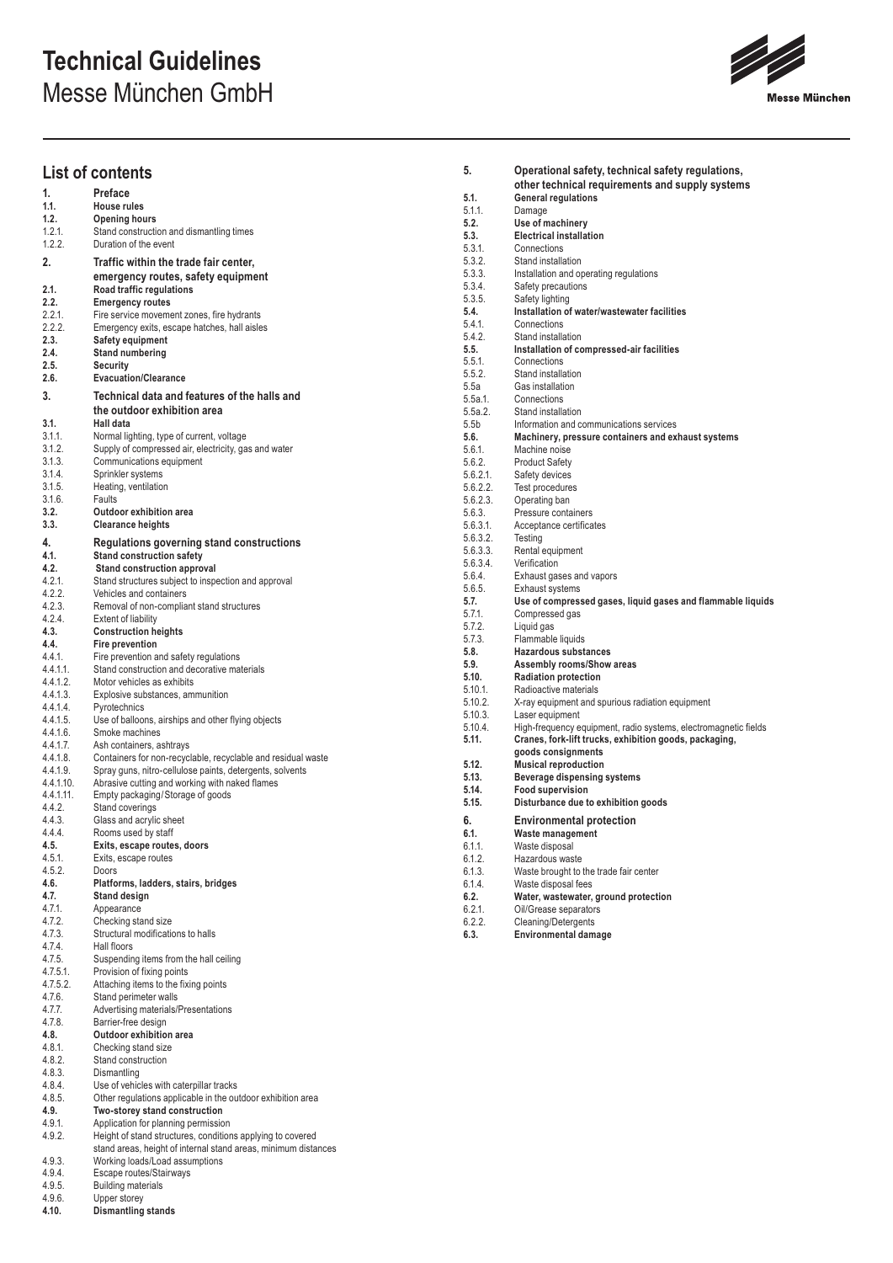# **Technical Guidelines** Messe München GmbH

## **List of contents**

| 1.<br>1.1.<br>1.2.<br>1.2.1.<br>1.2.2.                                           | <b>Preface</b><br>House rules<br><b>Opening hours</b><br>Stand construction and dismantling times<br>Duration of the event                                                                                                                                      |
|----------------------------------------------------------------------------------|-----------------------------------------------------------------------------------------------------------------------------------------------------------------------------------------------------------------------------------------------------------------|
| 2.                                                                               | Traffic within the trade fair center,                                                                                                                                                                                                                           |
| 2.1.<br>2.2.<br>2.2.1.<br>2.2.2.<br>2.3.<br>2.4.                                 | emergency routes, safety equipment<br>Road traffic regulations<br><b>Emergency routes</b><br>Fire service movement zones, fire hydrants<br>Emergency exits, escape hatches, hall aisles<br>Safety equipment<br><b>Stand numbering</b>                           |
| 2.5.                                                                             | Security                                                                                                                                                                                                                                                        |
| 2.6.<br>3.                                                                       | <b>Evacuation/Clearance</b><br>Technical data and features of the halls and<br>the outdoor exhibition area                                                                                                                                                      |
| 3.1.<br>3.1.1.<br>3.1.2.<br>3.1.3.<br>3.1.4.<br>3.1.5.<br>3.1.6.<br>3.2.<br>3.3. | Hall data<br>Normal lighting, type of current, voltage<br>Supply of compressed air, electricity, gas and water<br>Communications equipment<br>Sprinkler systems<br>Heating, ventilation<br>Faults<br><b>Outdoor exhibition area</b><br><b>Clearance heights</b> |
| 4.                                                                               | Regulations governing stand constructions                                                                                                                                                                                                                       |
| 4.1.                                                                             | <b>Stand construction safety</b>                                                                                                                                                                                                                                |
| 4.2.<br>4.2.1.                                                                   | <b>Stand construction approval</b><br>Stand structures subject to inspection and approval                                                                                                                                                                       |
| 4.2.2.                                                                           | Vehicles and containers                                                                                                                                                                                                                                         |
| 4.2.3.                                                                           | Removal of non-compliant stand structures                                                                                                                                                                                                                       |
| 4.2.4.                                                                           | <b>Extent of liability</b>                                                                                                                                                                                                                                      |
| 4.3.                                                                             | <b>Construction heights</b>                                                                                                                                                                                                                                     |
| 4.4.<br>4.4.1.                                                                   | Fire prevention<br>Fire prevention and safety regulations                                                                                                                                                                                                       |
| 4.4.1.1.                                                                         | Stand construction and decorative materials                                                                                                                                                                                                                     |
| 4.4.1.2.                                                                         | Motor vehicles as exhibits                                                                                                                                                                                                                                      |
| 4.4.1.3.                                                                         | Explosive substances, ammunition                                                                                                                                                                                                                                |
| 4.4.1.4.                                                                         | Pyrotechnics                                                                                                                                                                                                                                                    |
| 4.4.1.5.<br>4.4.1.6.                                                             | Use of balloons, airships and other flying objects<br>Smoke machines                                                                                                                                                                                            |
| 4.4.1.7.                                                                         | Ash containers, ashtrays                                                                                                                                                                                                                                        |
| 4.4.1.8.                                                                         | Containers for non-recyclable, recyclable and residual waste                                                                                                                                                                                                    |
| 4.4.1.9.                                                                         | Spray guns, nitro-cellulose paints, detergents, solvents                                                                                                                                                                                                        |
| 4.4.1.10.                                                                        | Abrasive cutting and working with naked flames                                                                                                                                                                                                                  |
| 4.4.1.11.<br>4.4.2.                                                              | Empty packaging/Storage of goods<br>Stand coverings                                                                                                                                                                                                             |
| 4.4.3.                                                                           | Glass and acrylic sheet                                                                                                                                                                                                                                         |
| 4.4.4.                                                                           | Rooms used by staff                                                                                                                                                                                                                                             |
| 4.5.                                                                             | Exits, escape routes, doors                                                                                                                                                                                                                                     |
| 4.5.1.<br>4.5.2.                                                                 | Exits, escape routes<br>Doors                                                                                                                                                                                                                                   |
| 4.6.                                                                             | Platforms, ladders, stairs, bridges                                                                                                                                                                                                                             |
| 4.7.                                                                             | <b>Stand design</b>                                                                                                                                                                                                                                             |
| 4.7.1.                                                                           | Appearance                                                                                                                                                                                                                                                      |
| 4.7.2.                                                                           | Checking stand size<br>Structural modifications to halls                                                                                                                                                                                                        |
| 4.7.3.<br>4.7.4.                                                                 | Hall floors                                                                                                                                                                                                                                                     |
| 4.7.5.                                                                           | Suspending items from the hall ceiling                                                                                                                                                                                                                          |
| 4.7.5.1.                                                                         | Provision of fixing points                                                                                                                                                                                                                                      |
| 4.7.5.2.                                                                         | Attaching items to the fixing points                                                                                                                                                                                                                            |
| 4.7.6.                                                                           | Stand perimeter walls                                                                                                                                                                                                                                           |
| 4.7.7.<br>4.7.8.                                                                 | Advertising materials/Presentations<br>Barrier-free design                                                                                                                                                                                                      |
| 4.8.                                                                             | Outdoor exhibition area                                                                                                                                                                                                                                         |
| 4.8.1.                                                                           | Checking stand size                                                                                                                                                                                                                                             |
| 4.8.2.                                                                           | Stand construction                                                                                                                                                                                                                                              |
| 4.8.3.<br>4.8.4.                                                                 | Dismantling<br>Use of vehicles with caterpillar tracks                                                                                                                                                                                                          |
| 4.8.5.                                                                           | Other regulations applicable in the outdoor exhibition area                                                                                                                                                                                                     |
| 4.9.                                                                             | Two-storey stand construction                                                                                                                                                                                                                                   |
| 4.9.1.<br>4.9.2.                                                                 | Application for planning permission<br>Height of stand structures, conditions applying to covered<br>stand areas, height of internal stand areas, minimum distances                                                                                             |

|       | stand areas, neight of internal s |
|-------|-----------------------------------|
| 1 Q 3 | Working loadell oad accumption    |

- 4.9.3. Working loads/Load assumptions<br>4.9.4. Escape routes/Stairways 4.9.4. Escape routes/Stairways
- 
- 4.9.5. Building materials
- 4.9.6. Upper storey
- **4.10. Dismantling stands**

| 5.                   | Operational safety, technical safety regulations,               |
|----------------------|-----------------------------------------------------------------|
|                      | other technical requirements and supply systems                 |
| 5.1.                 | <b>General regulations</b>                                      |
| 5.1.1.               | Damage                                                          |
| 5.2.                 | Use of machinery                                                |
| 5.3.                 | <b>Electrical installation</b>                                  |
| 5.3.1.               | Connections                                                     |
| 5.3.2.               | Stand installation                                              |
| 5.3.3.               | Installation and operating regulations                          |
| 5.3.4.               | Safety precautions                                              |
| 5.3.5.               | Safety lighting                                                 |
| 5.4.                 | Installation of water/wastewater facilities                     |
| 5.4.1.               | Connections                                                     |
| 5.4.2.               | Stand installation                                              |
| 5.5.                 | Installation of compressed-air facilities                       |
| 5.5.1.               | Connections                                                     |
| 5.5.2.               | Stand installation                                              |
| 5.5a                 | Gas installation                                                |
| 5.5a.1.              | Connections                                                     |
| 5.5a.2.              | Stand installation                                              |
| 5.5 <sub>b</sub>     | Information and communications services                         |
| 5.6.                 | Machinery, pressure containers and exhaust systems              |
| 5.6.1.               | Machine noise                                                   |
| 5.6.2.               | <b>Product Safety</b>                                           |
| 5.6.2.1.             | Safety devices                                                  |
| 5.6.2.2.             | Test procedures                                                 |
| 5.6.2.3.             | Operating ban                                                   |
| 5.6.3.               | Pressure containers                                             |
| 5.6.3.1.             | Acceptance certificates                                         |
| 5.6.3.2.<br>5.6.3.3. | Testing                                                         |
| 5.6.3.4.             | Rental equipment<br>Verification                                |
| 5.6.4.               |                                                                 |
| 5.6.5.               | Exhaust gases and vapors<br>Exhaust systems                     |
| 5.7.                 | Use of compressed gases, liquid gases and flammable liquids     |
| 5.7.1.               | Compressed gas                                                  |
| 5.7.2.               | Liquid gas                                                      |
| 5.7.3.               | Flammable liquids                                               |
| 5.8.                 | <b>Hazardous substances</b>                                     |
| 5.9.                 | Assembly rooms/Show areas                                       |
| 5.10.                | <b>Radiation protection</b>                                     |
| 5.10.1.              | Radioactive materials                                           |
| 5.10.2.              | X-ray equipment and spurious radiation equipment                |
| 5.10.3.              | Laser equipment                                                 |
| 5.10.4.              | High-frequency equipment, radio systems, electromagnetic fields |
| 5.11.                | Cranes, fork-lift trucks, exhibition goods, packaging,          |
|                      | goods consignments                                              |
| 5.12.                | <b>Musical reproduction</b>                                     |
| 5.13.                | <b>Beverage dispensing systems</b>                              |
| 5.14.                | <b>Food supervision</b>                                         |
| 5.15.                | Disturbance due to exhibition goods                             |
| 6.                   | <b>Environmental protection</b>                                 |
| 6.1.                 | Waste management                                                |
| 6.1.1.               | Waste disposal                                                  |
| 6.1.2.               | Hazardous waste                                                 |
| 6.1.3.               | Waste brought to the trade fair center                          |
| 6.1.4.               | Waste disposal fees                                             |
| 6.2.                 | Water, wastewater, ground protection                            |
| 6.2.1.               | Oil/Grease separators                                           |
| 6.2.2.               | Cleaning/Detergents                                             |
| 6.3.                 | <b>Environmental damage</b>                                     |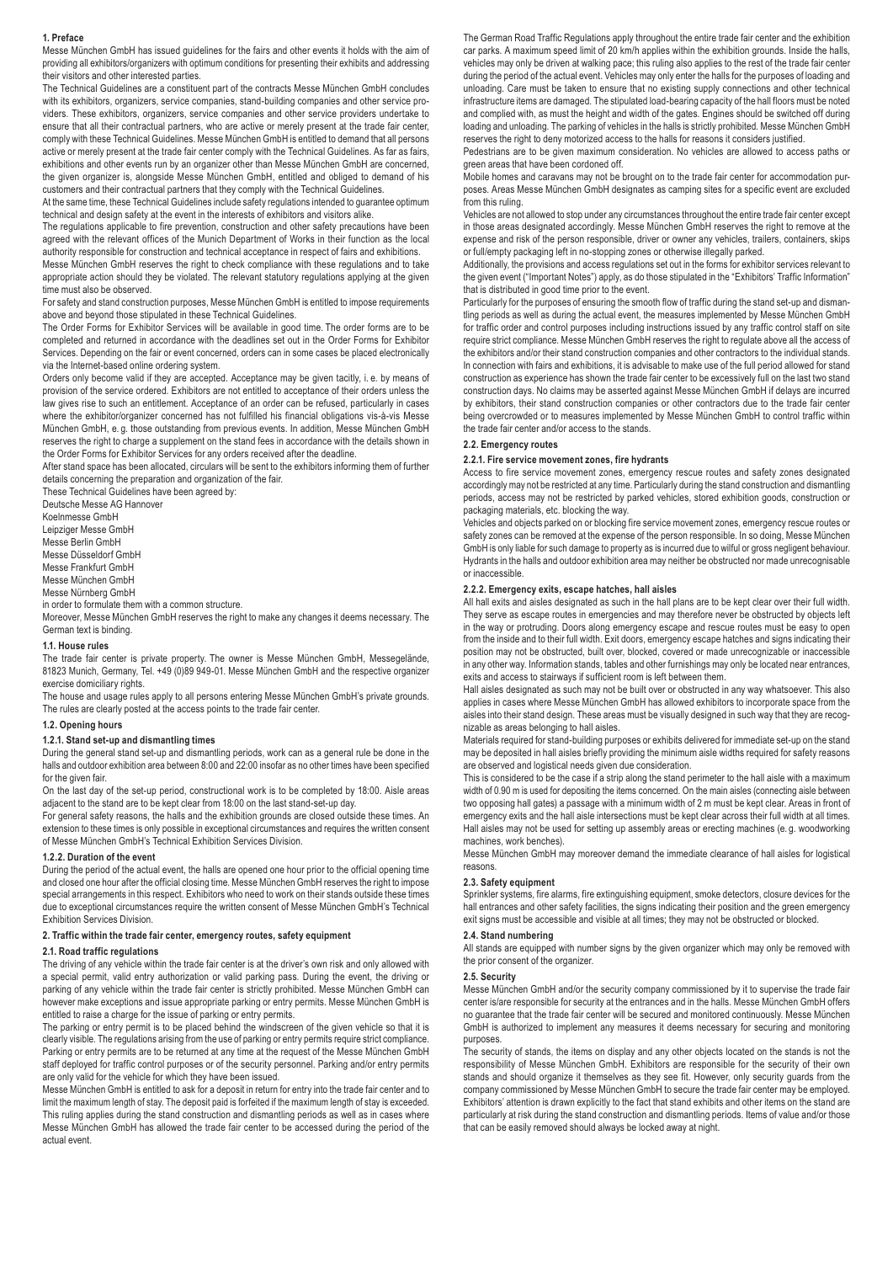#### **1. Preface**

Messe München GmbH has issued guidelines for the fairs and other events it holds with the aim of providing all exhibitors/organizers with optimum conditions for presenting their exhibits and addressing their visitors and other interested parties.

The Technical Guidelines are a constituent part of the contracts Messe München GmbH concludes with its exhibitors, organizers, service companies, stand-building companies and other service providers. These exhibitors, organizers, service companies and other service providers undertake to ensure that all their contractual partners, who are active or merely present at the trade fair center, comply with these Technical Guidelines. Messe München GmbH is entitled to demand that all persons active or merely present at the trade fair center comply with the Technical Guidelines. As far as fairs, exhibitions and other events run by an organizer other than Messe München GmbH are concerned, the given organizer is, alongside Messe München GmbH, entitled and obliged to demand of his customers and their contractual partners that they comply with the Technical Guidelines.

At the same time, these Technical Guidelines include safety regulations intended to guarantee optimum technical and design safety at the event in the interests of exhibitors and visitors alike.

The regulations applicable to fire prevention, construction and other safety precautions have been agreed with the relevant offices of the Munich Department of Works in their function as the local authority responsible for construction and technical acceptance in respect of fairs and exhibitions.

Messe München GmbH reserves the right to check compliance with these regulations and to take appropriate action should they be violated. The relevant statutory regulations applying at the given time must also be observed.

For safety and stand construction purposes, Messe München GmbH is entitled to impose requirements above and beyond those stipulated in these Technical Guidelines.

The Order Forms for Exhibitor Services will be available in good time. The order forms are to be completed and returned in accordance with the deadlines set out in the Order Forms for Exhibitor Services. Depending on the fair or event concerned, orders can in some cases be placed electronically via the Internet-based online ordering system.

Orders only become valid if they are accepted. Acceptance may be given tacitly, i. e. by means of provision of the service ordered. Exhibitors are not entitled to acceptance of their orders unless the law gives rise to such an entitlement. Acceptance of an order can be refused, particularly in cases where the exhibitor/organizer concerned has not fulfilled his financial obligations vis-à-vis Messe München GmbH, e. g. those outstanding from previous events. In addition, Messe München GmbH reserves the right to charge a supplement on the stand fees in accordance with the details shown in the Order Forms for Exhibitor Services for any orders received after the deadline.

After stand space has been allocated, circulars will be sent to the exhibitors informing them of further details concerning the preparation and organization of the fair.

These Technical Guidelines have been agreed by: Deutsche Messe AG Hannover

Koelnmesse GmbH

Leipziger Messe GmbH

Messe Berlin GmbH

Messe Düsseldorf GmbH

Messe Frankfurt GmbH

Messe München GmbH

Messe Nürnberg GmbH in order to formulate them with a common structure.

Moreover, Messe München GmbH reserves the right to make any changes it deems necessary. The

#### German text is binding. **1.1. House rules**

The trade fair center is private property. The owner is Messe München GmbH, Messegelände, 81823 Munich, Germany, Tel. +49 (0)89 949-01. Messe München GmbH and the respective organizer exercise domiciliary rights.

The house and usage rules apply to all persons entering Messe München GmbH's private grounds. The rules are clearly posted at the access points to the trade fair center.

#### **1.2. Opening hours**

#### **1.2.1. Stand set-up and dismantling times**

During the general stand set-up and dismantling periods, work can as a general rule be done in the halls and outdoor exhibition area between 8:00 and 22:00 insofar as no other times have been specified for the given fair.

On the last day of the set-up period, constructional work is to be completed by 18:00. Aisle areas adjacent to the stand are to be kept clear from 18:00 on the last stand-set-up day.

For general safety reasons, the halls and the exhibition grounds are closed outside these times. An extension to these times is only possible in exceptional circumstances and requires the written consent of Messe München GmbH's Technical Exhibition Services Division.

#### **1.2.2. Duration of the event**

During the period of the actual event, the halls are opened one hour prior to the official opening time and closed one hour after the official closing time. Messe München GmbH reserves the right to impose special arrangements in this respect. Exhibitors who need to work on their stands outside these times due to exceptional circumstances require the written consent of Messe München GmbH's Technical Exhibition Services Division.

#### **2. Traffic within the trade fair center, emergency routes, safety equipment**

#### **2.1. Road traffic regulations**

The driving of any vehicle within the trade fair center is at the driver's own risk and only allowed with a special permit, valid entry authorization or valid parking pass. During the event, the driving or parking of any vehicle within the trade fair center is strictly prohibited. Messe München GmbH can however make exceptions and issue appropriate parking or entry permits. Messe München GmbH is entitled to raise a charge for the issue of parking or entry permits.

The parking or entry permit is to be placed behind the windscreen of the given vehicle so that it is clearly visible. The regulations arising from the use of parking or entry permits require strict compliance. Parking or entry permits are to be returned at any time at the request of the Messe München GmbH staff deployed for traffic control purposes or of the security personnel. Parking and/or entry permits are only valid for the vehicle for which they have been issued.

Messe München GmbH is entitled to ask for a deposit in return for entry into the trade fair center and to limit the maximum length of stay. The deposit paid is forfeited if the maximum length of stay is exceeded. This ruling applies during the stand construction and dismantling periods as well as in cases where Messe München GmbH has allowed the trade fair center to be accessed during the period of the actual event.

The German Road Traffic Regulations apply throughout the entire trade fair center and the exhibition car parks. A maximum speed limit of 20 km/h applies within the exhibition grounds. Inside the halls, vehicles may only be driven at walking pace; this ruling also applies to the rest of the trade fair center during the period of the actual event. Vehicles may only enter the halls for the purposes of loading and unloading. Care must be taken to ensure that no existing supply connections and other technical infrastructure items are damaged. The stipulated load-bearing capacity of the hall floors must be noted and complied with, as must the height and width of the gates. Engines should be switched off during loading and unloading. The parking of vehicles in the halls is strictly prohibited. Messe München GmbH reserves the right to deny motorized access to the halls for reasons it considers justified.

Pedestrians are to be given maximum consideration. No vehicles are allowed to access paths or green areas that have been cordoned off.

Mobile homes and caravans may not be brought on to the trade fair center for accommodation purposes. Areas Messe München GmbH designates as camping sites for a specific event are excluded from this ruling.

Vehicles are not allowed to stop under any circumstances throughout the entire trade fair center except in those areas designated accordingly. Messe München GmbH reserves the right to remove at the expense and risk of the person responsible, driver or owner any vehicles, trailers, containers, skips or full/empty packaging left in no-stopping zones or otherwise illegally parked.

Additionally, the provisions and access regulations set out in the forms for exhibitor services relevant to the given event ("Important Notes") apply, as do those stipulated in the "Exhibitors' Traffic Information" that is distributed in good time prior to the event.

Particularly for the purposes of ensuring the smooth flow of traffic during the stand set-up and dismantling periods as well as during the actual event, the measures implemented by Messe München GmbH for traffic order and control purposes including instructions issued by any traffic control staff on site require strict compliance. Messe München GmbH reserves the right to regulate above all the access of the exhibitors and/or their stand construction companies and other contractors to the individual stands. In connection with fairs and exhibitions, it is advisable to make use of the full period allowed for stand construction as experience has shown the trade fair center to be excessively full on the last two stand construction days. No claims may be asserted against Messe München GmbH if delays are incurred by exhibitors, their stand construction companies or other contractors due to the trade fair center being overcrowded or to measures implemented by Messe München GmbH to control traffic within the trade fair center and/or access to the stands.

#### **2.2. Emergency routes**

#### **2.2.1. Fire service movement zones, fire hydrants**

Access to fire service movement zones, emergency rescue routes and safety zones designated accordingly may not be restricted at any time. Particularly during the stand construction and dismantling periods, access may not be restricted by parked vehicles, stored exhibition goods, construction or packaging materials, etc. blocking the way.

Vehicles and objects parked on or blocking fire service movement zones, emergency rescue routes or safety zones can be removed at the expense of the person responsible. In so doing, Messe München GmbH is only liable for such damage to property as is incurred due to wilful or gross negligent behaviour. Hydrants in the halls and outdoor exhibition area may neither be obstructed nor made unrecognisable or inaccessible.

#### **2.2.2. Emergency exits, escape hatches, hall aisles**

All hall exits and aisles designated as such in the hall plans are to be kept clear over their full width. They serve as escape routes in emergencies and may therefore never be obstructed by objects left in the way or protruding. Doors along emergency escape and rescue routes must be easy to open from the inside and to their full width. Exit doors, emergency escape hatches and signs indicating their position may not be obstructed, built over, blocked, covered or made unrecognizable or inaccessible in any other way. Information stands, tables and other furnishings may only be located near entrances, exits and access to stairways if sufficient room is left between them.

Hall aisles designated as such may not be built over or obstructed in any way whatsoever. This also applies in cases where Messe München GmbH has allowed exhibitors to incorporate space from the aisles into their stand design. These areas must be visually designed in such way that they are recognizable as areas belonging to hall aisles.

Materials required for stand-building purposes or exhibits delivered for immediate set-up on the stand may be deposited in hall aisles briefly providing the minimum aisle widths required for safety reasons are observed and logistical needs given due consideration.

This is considered to be the case if a strip along the stand perimeter to the hall aisle with a maximum width of 0.90 m is used for depositing the items concerned. On the main aisles (connecting aisle between two opposing hall gates) a passage with a minimum width of 2 m must be kept clear. Areas in front of emergency exits and the hall aisle intersections must be kept clear across their full width at all times. Hall aisles may not be used for setting up assembly areas or erecting machines (e. g. woodworking machines, work benches).

Messe München GmbH may moreover demand the immediate clearance of hall aisles for logistical reasons.

### **2.3. Safety equipment**

Sprinkler systems, fire alarms, fire extinguishing equipment, smoke detectors, closure devices for the hall entrances and other safety facilities, the signs indicating their position and the green emergency exit signs must be accessible and visible at all times; they may not be obstructed or blocked.

### **2.4. Stand numbering**

All stands are equipped with number signs by the given organizer which may only be removed with the prior consent of the organizer.

#### **2.5. Security**

Messe München GmbH and/or the security company commissioned by it to supervise the trade fair center is/are responsible for security at the entrances and in the halls. Messe München GmbH offers no guarantee that the trade fair center will be secured and monitored continuously. Messe München GmbH is authorized to implement any measures it deems necessary for securing and monitoring purposes.

.<br>The security of stands, the items on display and any other objects located on the stands is not the responsibility of Messe München GmbH. Exhibitors are responsible for the security of their own stands and should organize it themselves as they see fit. However, only security guards from the company commissioned by Messe München GmbH to secure the trade fair center may be employed. Exhibitors' attention is drawn explicitly to the fact that stand exhibits and other items on the stand are particularly at risk during the stand construction and dismantling periods. Items of value and/or those that can be easily removed should always be locked away at night.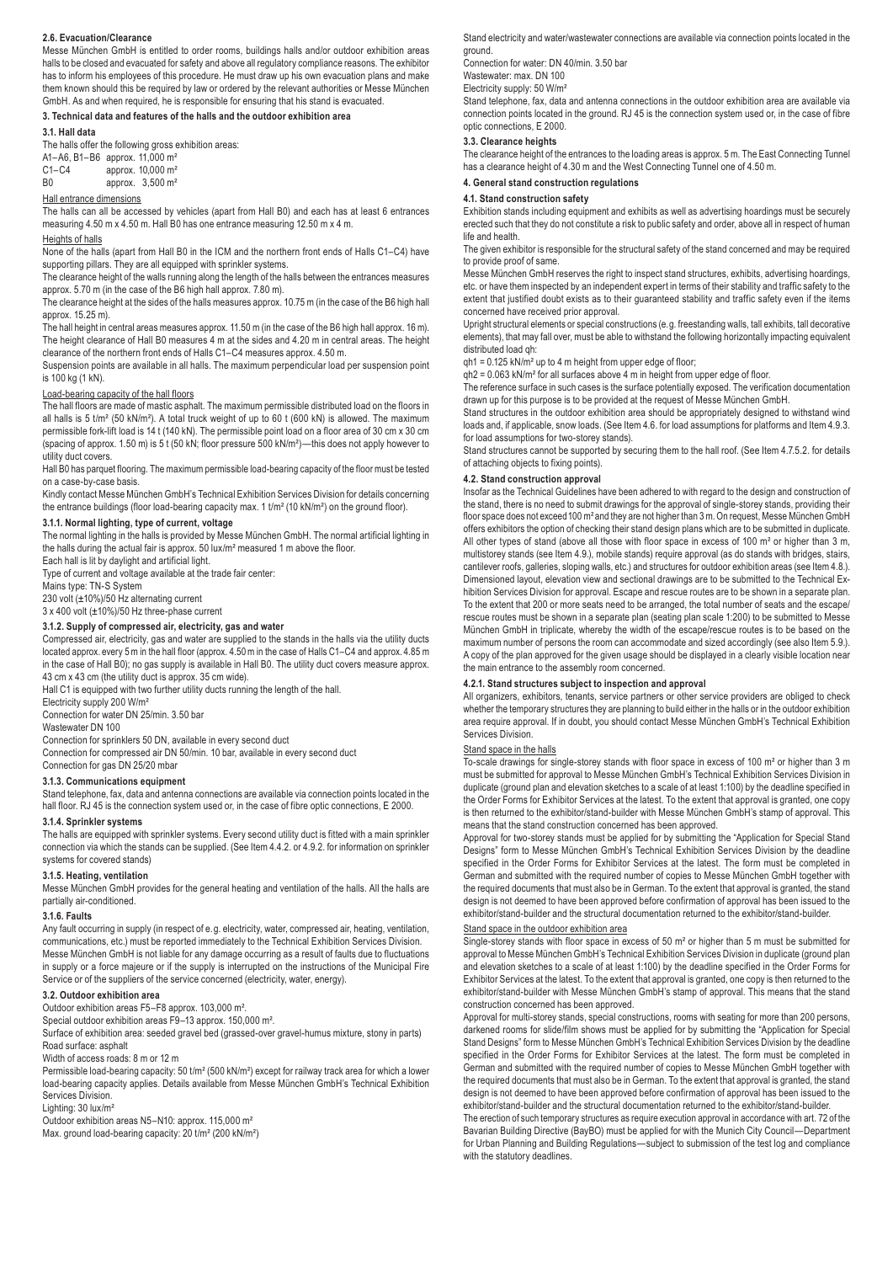#### **2.6. Evacuation/Clearance**

Messe München GmbH is entitled to order rooms, buildings halls and/or outdoor exhibition areas halls to be closed and evacuated for safety and above all regulatory compliance reasons. The exhibitor has to inform his employees of this procedure. He must draw up his own evacuation plans and make them known should this be required by law or ordered by the relevant authorities or Messe München GmbH. As and when required, he is responsible for ensuring that his stand is evacuated.

**3. Technical data and features of the halls and the outdoor exhibition area**

#### **3.1. Hall data**

The halls offer the following gross exhibition areas: A1–A6, B1–B6 approx. 11,000 m² C1–C4 approx. 10,000 m²

B0 approx. 3,500 m²

### Hall entrance dimensions

The halls can all be accessed by vehicles (apart from Hall B0) and each has at least 6 entrances measuring 4.50 m x 4.50 m. Hall B0 has one entrance measuring 12.50 m x 4 m.

#### Heights of halls

None of the halls (apart from Hall B0 in the ICM and the northern front ends of Halls C1–C4) have supporting pillars. They are all equipped with sprinkler systems.

The clearance height of the walls running along the length of the halls between the entrances measures approx. 5.70 m (in the case of the B6 high hall approx. 7.80 m).

The clearance height at the sides of the halls measures approx. 10.75 m (in the case of the B6 high hall approx. 15.25 m).

The hall height in central areas measures approx. 11.50 m (in the case of the B6 high hall approx. 16 m). The height clearance of Hall B0 measures 4 m at the sides and 4.20 m in central areas. The height clearance of the northern front ends of Halls C1–C4 measures approx. 4.50 m.

Suspension points are available in all halls. The maximum perpendicular load per suspension point is 100 kg (1 kN).

#### Load-bearing capacity of the hall floors

The hall floors are made of mastic asphalt. The maximum permissible distributed load on the floors in all halls is 5 t/m<sup>2</sup> (50 kN/m<sup>2</sup>). A total truck weight of up to 60 t (600 kN) is allowed. The maximum permissible fork-lift load is 14 t (140 kN). The permissible point load on a floor area of 30 cm x 30 cm (spacing of approx. 1.50 m) is 5 t (50 kN; floor pressure 500 kN/m²)—this does not apply however to utility duct covers.

Hall B0 has parquet flooring. The maximum permissible load-bearing capacity of the floor must be tested on a case-by-case basis.

Kindly contact Messe München GmbH's Technical Exhibition Services Division for details concerning the entrance buildings (floor load-bearing capacity max. 1 t/m<sup>2</sup> (10 kN/m<sup>2</sup>) on the ground floor).

#### **3.1.1. Normal lighting, type of current, voltage**

The normal lighting in the halls is provided by Messe München GmbH. The normal artificial lighting in the halls during the actual fair is approx. 50 lux/m² measured 1 m above the floor.

Each hall is lit by daylight and artificial light.

Type of current and voltage available at the trade fair center:

Mains type: TN-S System

230 volt (±10%)/50 Hz alternating current 3 x 400 volt (±10%)/50 Hz three-phase current

## **3.1.2. Supply of compressed air, electricity, gas and water**

Compressed air, electricity, gas and water are supplied to the stands in the halls via the utility ducts located approx. every 5 m in the hall floor (approx. 4.50 m in the case of Halls C1–C4 and approx. 4.85 m in the case of Hall B0); no gas supply is available in Hall B0. The utility duct covers measure approx. 43 cm x 43 cm (the utility duct is approx. 35 cm wide).

Hall C1 is equipped with two further utility ducts running the length of the hall.

Electricity supply 200 W/m² Connection for water DN 25/min. 3.50 bar

Wastewater DN 100

Connection for sprinklers 50 DN, available in every second duct

Connection for compressed air DN 50/min. 10 bar, available in every second duct

Connection for gas DN 25/20 mbar

### **3.1.3. Communications equipment**

Stand telephone, fax, data and antenna connections are available via connection points located in the hall floor. RJ 45 is the connection system used or, in the case of fibre optic connections, E 2000.

#### **3.1.4. Sprinkler systems**

The halls are equipped with sprinkler systems. Every second utility duct is fitted with a main sprinkler connection via which the stands can be supplied. (See Item 4.4.2. or 4.9.2. for information on sprinkler systems for covered stands)

#### **3.1.5. Heating, ventilation**

Messe München GmbH provides for the general heating and ventilation of the halls. All the halls are partially air-conditioned.

#### **3.1.6. Faults**

Any fault occurring in supply (in respect of e. g. electricity, water, compressed air, heating, ventilation, communications, etc.) must be reported immediately to the Technical Exhibition Services Division. Messe München GmbH is not liable for any damage occurring as a result of faults due to fluctuations in supply or a force majeure or if the supply is interrupted on the instructions of the Municipal Fire Service or of the suppliers of the service concerned (electricity, water, energy).

### **3.2. Outdoor exhibition area**

Outdoor exhibition areas F5–F8 approx. 103,000 m².

Special outdoor exhibition areas F9–13 approx. 150,000 m².

Surface of exhibition area: seeded gravel bed (grassed-over gravel-humus mixture, stony in parts) Road surface: asphalt

Width of access roads: 8 m or 12 m

Permissible load-bearing capacity: 50 t/m² (500 kN/m²) except for railway track area for which a lower load-bearing capacity applies. Details available from Messe München GmbH's Technical Exhibition Services Division.

Lighting: 30 lux/m<sup>2</sup>

Outdoor exhibition areas N5–N10: approx. 115,000 m² Max. ground load-bearing capacity: 20 t/m<sup>2</sup> (200 kN/m<sup>2</sup>)

Stand electricity and water/wastewater connections are available via connection points located in the ground.

Connection for water: DN 40/min. 3.50 bar Wastewater: max. DN 100

Electricity supply: 50 W/m²

Stand telephone, fax, data and antenna connections in the outdoor exhibition area are available via connection points located in the ground. RJ 45 is the connection system used or, in the case of fibre optic connections, E 2000.

#### **3.3. Clearance heights**

The clearance height of the entrances to the loading areas is approx. 5 m. The East Connecting Tunnel has a clearance height of 4.30 m and the West Connecting Tunnel one of 4.50 m.

**4. General stand construction regulations**

**4.1. Stand construction safety**

Exhibition stands including equipment and exhibits as well as advertising hoardings must be securely erected such that they do not constitute a risk to public safety and order, above all in respect of human life and health.

The given exhibitor is responsible for the structural safety of the stand concerned and may be required to provide proof of same.

Messe München GmbH reserves the right to inspect stand structures, exhibits, advertising hoardings, etc. or have them inspected by an independent expert in terms of their stability and traffic safety to the extent that justified doubt exists as to their guaranteed stability and traffic safety even if the items concerned have received prior approval.

Upright structural elements or special constructions (e. g. freestanding walls, tall exhibits, tall decorative elements), that may fall over, must be able to withstand the following horizontally impacting equivalent distributed load qh:

qh1 = 0.125 kN/m² up to 4 m height from upper edge of floor;

qh2 = 0.063 kN/m² for all surfaces above 4 m in height from upper edge of floor.

The reference surface in such cases is the surface potentially exposed. The verification documentation drawn up for this purpose is to be provided at the request of Messe München GmbH.

Stand structures in the outdoor exhibition area should be appropriately designed to withstand wind loads and, if applicable, snow loads. (See Item 4.6. for load assumptions for platforms and Item 4.9.3. for load assumptions for two-storey stands).

Stand structures cannot be supported by securing them to the hall roof. (See Item 4.7.5.2. for details of attaching objects to fixing points).

#### **4.2. Stand construction approval**

Insofar as the Technical Guidelines have been adhered to with regard to the design and construction of the stand, there is no need to submit drawings for the approval of single-storey stands, providing their floor space does not exceed 100 m<sup>2</sup> and they are not higher than 3 m. On request, Messe München GmbH offers exhibitors the option of checking their stand design plans which are to be submitted in duplicate. All other types of stand (above all those with floor space in excess of 100 m² or higher than 3 m, multistorey stands (see Item 4.9.), mobile stands) require approval (as do stands with bridges, stairs, cantilever roofs, galleries, sloping walls, etc.) and structures for outdoor exhibition areas (see Item 4.8.). Dimensioned layout, elevation view and sectional drawings are to be submitted to the Technical Exhibition Services Division for approval. Escape and rescue routes are to be shown in a separate plan. To the extent that 200 or more seats need to be arranged, the total number of seats and the escape/ rescue routes must be shown in a separate plan (seating plan scale 1:200) to be submitted to Messe München GmbH in triplicate, whereby the width of the escape/rescue routes is to be based on the maximum number of persons the room can accommodate and sized accordingly (see also Item 5.9.). A copy of the plan approved for the given usage should be displayed in a clearly visible location near the main entrance to the assembly room concerned.

### **4.2.1. Stand structures subject to inspection and approval**

All organizers, exhibitors, tenants, service partners or other service providers are obliged to check whether the temporary structures they are planning to build either in the halls or in the outdoor exhibition area require approval. If in doubt, you should contact Messe München GmbH's Technical Exhibition Services Division.

#### Stand space in the halls

To-scale drawings for single-storey stands with floor space in excess of 100 m² or higher than 3 m must be submitted for approval to Messe München GmbH's Technical Exhibition Services Division in duplicate (ground plan and elevation sketches to a scale of at least 1:100) by the deadline specified in the Order Forms for Exhibitor Services at the latest. To the extent that approval is granted, one copy is then returned to the exhibitor/stand-builder with Messe München GmbH's stamp of approval. This means that the stand construction concerned has been approved.

Approval for two-storey stands must be applied for by submitting the "Application for Special Stand Designs" form to Messe München GmbH's Technical Exhibition Services Division by the deadline specified in the Order Forms for Exhibitor Services at the latest. The form must be completed in German and submitted with the required number of copies to Messe München GmbH together with the required documents that must also be in German. To the extent that approval is granted, the stand design is not deemed to have been approved before confirmation of approval has been issued to the exhibitor/stand-builder and the structural documentation returned to the exhibitor/stand-builder.

### Stand space in the outdoor exhibition area

Single-storey stands with floor space in excess of 50 m² or higher than 5 m must be submitted for approval to Messe München GmbH's Technical Exhibition Services Division in duplicate (ground plan and elevation sketches to a scale of at least 1:100) by the deadline specified in the Order Forms for Exhibitor Services at the latest. To the extent that approval is granted, one copy is then returned to the exhibitor/stand-builder with Messe München GmbH's stamp of approval. This means that the stand construction concerned has been approved.

Approval for multi-storey stands, special constructions, rooms with seating for more than 200 persons, darkened rooms for slide/film shows must be applied for by submitting the "Application for Special Stand Designs" form to Messe München GmbH's Technical Exhibition Services Division by the deadline specified in the Order Forms for Exhibitor Services at the latest. The form must be completed in German and submitted with the required number of copies to Messe München GmbH together with the required documents that must also be in German. To the extent that approval is granted, the stand design is not deemed to have been approved before confirmation of approval has been issued to the exhibitor/stand-builder and the structural documentation returned to the exhibitor/stand-builder.

The erection of such temporary structures as require execution approval in accordance with art. 72 of the Bavarian Building Directive (BayBO) must be applied for with the Munich City Council—Department for Urban Planning and Building Regulations—subject to submission of the test log and compliance with the statutory deadlines.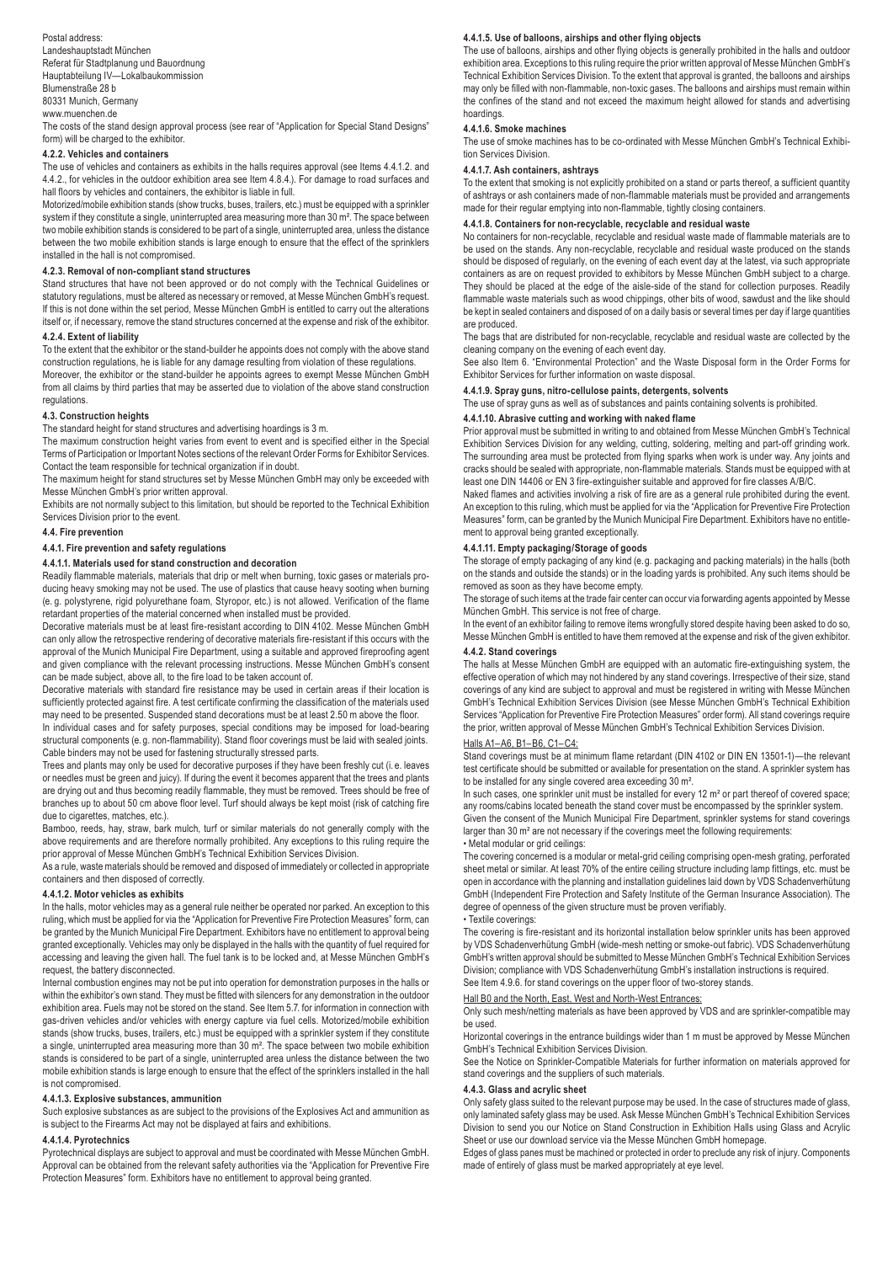### Postal address: Landeshauptstadt München Referat für Stadtplanung und Bauordnung Hauptabteilung IV—Lokalbaukommission Blumenstraße 28 b 80331 Munich, Germany www.muenchen.de

The costs of the stand design approval process (see rear of "Application for Special Stand Designs" form) will be charged to the exhibitor.

### **4.2.2. Vehicles and containers**

The use of vehicles and containers as exhibits in the halls requires approval (see Items 4.4.1.2. and 4.4.2., for vehicles in the outdoor exhibition area see Item 4.8.4.). For damage to road surfaces and hall floors by vehicles and containers, the exhibitor is liable in full.

Motorized/mobile exhibition stands (show trucks, buses, trailers, etc.) must be equipped with a sprinkler system if they constitute a single, uninterrupted area measuring more than 30 m<sup>2</sup>. The space between two mobile exhibition stands is considered to be part of a single, uninterrupted area, unless the distance between the two mobile exhibition stands is large enough to ensure that the effect of the sprinklers installed in the hall is not compromised.

### **4.2.3. Removal of non-compliant stand structures**

Stand structures that have not been approved or do not comply with the Technical Guidelines or statutory regulations, must be altered as necessary or removed, at Messe München GmbH's request. If this is not done within the set period, Messe München GmbH is entitled to carry out the alterations itself or, if necessary, remove the stand structures concerned at the expense and risk of the exhibitor.

## **4.2.4. Extent of liability**

To the extent that the exhibitor or the stand-builder he appoints does not comply with the above stand construction regulations, he is liable for any damage resulting from violation of these regulations.

Moreover, the exhibitor or the stand-builder he appoints agrees to exempt Messe München GmbH from all claims by third parties that may be asserted due to violation of the above stand construction regulations.

#### **4.3. Construction heights**

The standard height for stand structures and advertising hoardings is 3 m.

The maximum construction height varies from event to event and is specified either in the Special Terms of Participation or Important Notes sections of the relevant Order Forms for Exhibitor Services. Contact the team responsible for technical organization if in doubt.

The maximum height for stand structures set by Messe München GmbH may only be exceeded with Messe München GmbH's prior written approval.

Exhibits are not normally subject to this limitation, but should be reported to the Technical Exhibition Services Division prior to the event.

#### **4.4. Fire prevention**

#### **4.4.1. Fire prevention and safety regulations**

#### **4.4.1.1. Materials used for stand construction and decoration**

Readily flammable materials, materials that drip or melt when burning, toxic gases or materials producing heavy smoking may not be used. The use of plastics that cause heavy sooting when burning (e. g. polystyrene, rigid polyurethane foam, Styropor, etc.) is not allowed. Verification of the flame retardant properties of the material concerned when installed must be provided.

Decorative materials must be at least fire-resistant according to DIN 4102. Messe München GmbH can only allow the retrospective rendering of decorative materials fire-resistant if this occurs with the approval of the Munich Municipal Fire Department, using a suitable and approved fireproofing agent and given compliance with the relevant processing instructions. Messe München GmbH's consent can be made subject, above all, to the fire load to be taken account of.

Decorative materials with standard fire resistance may be used in certain areas if their location is sufficiently protected against fire. A test certificate confirming the classification of the materials used may need to be presented. Suspended stand decorations must be at least 2.50 m above the floor.

In individual cases and for safety purposes, special conditions may be imposed for load-bearing structural components (e. g. non-flammability). Stand floor coverings must be laid with sealed joints. Cable binders may not be used for fastening structurally stressed parts.

Trees and plants may only be used for decorative purposes if they have been freshly cut (i. e. leaves or needles must be green and juicy). If during the event it becomes apparent that the trees and plants are drying out and thus becoming readily flammable, they must be removed. Trees should be free of branches up to about 50 cm above floor level. Turf should always be kept moist (risk of catching fire due to cigarettes, matches, etc.).

Bamboo, reeds, hay, straw, bark mulch, turf or similar materials do not generally comply with the above requirements and are therefore normally prohibited. Any exceptions to this ruling require the prior approval of Messe München GmbH's Technical Exhibition Services Division.

As a rule, waste materials should be removed and disposed of immediately or collected in appropriate containers and then disposed of correctly.

#### **4.4.1.2. Motor vehicles as exhibits**

In the halls, motor vehicles may as a general rule neither be operated nor parked. An exception to this ruling, which must be applied for via the "Application for Preventive Fire Protection Measures" form, can be granted by the Munich Municipal Fire Department. Exhibitors have no entitlement to approval being granted exceptionally. Vehicles may only be displayed in the halls with the quantity of fuel required for accessing and leaving the given hall. The fuel tank is to be locked and, at Messe München GmbH's request, the battery disconnected.

Internal combustion engines may not be put into operation for demonstration purposes in the halls or within the exhibitor's own stand. They must be fitted with silencers for any demonstration in the outdoor exhibition area. Fuels may not be stored on the stand. See Item 5.7, for information in connection with gas-driven vehicles and/or vehicles with energy capture via fuel cells. Motorized/mobile exhibition stands (show trucks, buses, trailers, etc.) must be equipped with a sprinkler system if they constitute a single, uninterrupted area measuring more than 30 m². The space between two mobile exhibition stands is considered to be part of a single, uninterrupted area unless the distance between the two mobile exhibition stands is large enough to ensure that the effect of the sprinklers installed in the hall is not compromised.

#### **4.4.1.3. Explosive substances, ammunition**

Such explosive substances as are subject to the provisions of the Explosives Act and ammunition as is subject to the Firearms Act may not be displayed at fairs and exhibitions.

### **4.4.1.4. Pyrotechnics**

Pyrotechnical displays are subject to approval and must be coordinated with Messe München GmbH. Approval can be obtained from the relevant safety authorities via the "Application for Preventive Fire Protection Measures" form. Exhibitors have no entitlement to approval being granted.

#### **4.4.1.5. Use of balloons, airships and other flying objects**

The use of balloons, airships and other flying objects is generally prohibited in the halls and outdoor exhibition area. Exceptions to this ruling require the prior written approval of Messe München GmbH's Technical Exhibition Services Division. To the extent that approval is granted, the balloons and airships may only be filled with non-flammable, non-toxic gases. The balloons and airships must remain within the confines of the stand and not exceed the maximum height allowed for stands and advertising hoardings.

#### **4.4.1.6. Smoke machines**

The use of smoke machines has to be co-ordinated with Messe München GmbH's Technical Exhibition Services Division.

#### **4.4.1.7. Ash containers, ashtrays**

To the extent that smoking is not explicitly prohibited on a stand or parts thereof, a sufficient quantity of ashtrays or ash containers made of non-flammable materials must be provided and arrangements made for their regular emptying into non-flammable, tightly closing containers.

### **4.4.1.8. Containers for non-recyclable, recyclable and residual waste**

No containers for non-recyclable, recyclable and residual waste made of flammable materials are to be used on the stands. Any non-recyclable, recyclable and residual waste produced on the stands should be disposed of regularly, on the evening of each event day at the latest, via such appropriate containers as are on request provided to exhibitors by Messe München GmbH subject to a charge. They should be placed at the edge of the aisle-side of the stand for collection purposes. Readily flammable waste materials such as wood chippings, other bits of wood, sawdust and the like should be kept in sealed containers and disposed of on a daily basis or several times per day if large quantities are produced.

The bags that are distributed for non-recyclable, recyclable and residual waste are collected by the cleaning company on the evening of each event day.

See also Item 6. "Environmental Protection" and the Waste Disposal form in the Order Forms for Exhibitor Services for further information on waste disposal.

### **4.4.1.9. Spray guns, nitro-cellulose paints, detergents, solvents**

The use of spray guns as well as of substances and paints containing solvents is prohibited.

### **4.4.1.10. Abrasive cutting and working with naked flame**

Prior approval must be submitted in writing to and obtained from Messe München GmbH's Technical Exhibition Services Division for any welding, cutting, soldering, melting and part-off grinding work. The surrounding area must be protected from flying sparks when work is under way. Any joints and cracks should be sealed with appropriate, non-flammable materials. Stands must be equipped with at least one DIN 14406 or EN 3 fire-extinguisher suitable and approved for fire classes A/B/C.

Naked flames and activities involving a risk of fire are as a general rule prohibited during the event. An exception to this ruling, which must be applied for via the "Application for Preventive Fire Protection Measures" form, can be granted by the Munich Municipal Fire Department. Exhibitors have no entitlement to approval being granted exceptionally.

### **4.4.1.11. Empty packaging/Storage of goods**

The storage of empty packaging of any kind (e. g. packaging and packing materials) in the halls (both on the stands and outside the stands) or in the loading yards is prohibited. Any such items should be removed as soon as they have become empty.

The storage of such items at the trade fair center can occur via forwarding agents appointed by Messe München GmbH. This service is not free of charge.

In the event of an exhibitor failing to remove items wrongfully stored despite having been asked to do so, Messe München GmbH is entitled to have them removed at the expense and risk of the given exhibitor.

## **4.4.2. Stand coverings**

The halls at Messe München GmbH are equipped with an automatic fire-extinguishing system, the effective operation of which may not hindered by any stand coverings. Irrespective of their size, stand coverings of any kind are subject to approval and must be registered in writing with Messe München GmbH's Technical Exhibition Services Division (see Messe München GmbH's Technical Exhibition Services "Application for Preventive Fire Protection Measures" order form). All stand coverings require the prior, written approval of Messe München GmbH's Technical Exhibition Services Division.

#### Halls A1–A6, B1–B6, C1–C4:

Stand coverings must be at minimum flame retardant (DIN 4102 or DIN EN 13501-1)—the relevant test certificate should be submitted or available for presentation on the stand. A sprinkler system has to be installed for any single covered area exceeding 30 m².

In such cases, one sprinkler unit must be installed for every 12 m<sup>2</sup> or part thereof of covered space; any rooms/cabins located beneath the stand cover must be encompassed by the sprinkler system. Given the consent of the Munich Municipal Fire Department, sprinkler systems for stand coverings

larger than 30 m<sup>2</sup> are not necessary if the coverings meet the following requirements:

#### • Metal modular or grid ceilings:

The covering concerned is a modular or metal-grid ceiling comprising open-mesh grating, perforated sheet metal or similar. At least 70% of the entire ceiling structure including lamp fittings, etc. must be open in accordance with the planning and installation guidelines laid down by VDS Schadenverhütung GmbH (Independent Fire Protection and Safety Institute of the German Insurance Association). The degree of openness of the given structure must be proven verifiably.

#### • Textile coverings:

The covering is fire-resistant and its horizontal installation below sprinkler units has been approved by VDS Schadenverhütung GmbH (wide-mesh netting or smoke-out fabric). VDS Schadenverhütung GmbH's written approval should be submitted to Messe München GmbH's Technical Exhibition Services Division; compliance with VDS Schadenverhütung GmbH's installation instructions is required. See Item 4.9.6. for stand coverings on the upper floor of two-storey stands.

## Hall B0 and the North, East, West and North-West Entrances:

Only such mesh/netting materials as have been approved by VDS and are sprinkler-compatible may be used.

Horizontal coverings in the entrance buildings wider than 1 m must be approved by Messe München GmbH's Technical Exhibition Services Division.

See the Notice on Sprinkler-Compatible Materials for further information on materials approved for stand coverings and the suppliers of such materials.

### **4.4.3. Glass and acrylic sheet**

Only safety glass suited to the relevant purpose may be used. In the case of structures made of glass, only laminated safety glass may be used. Ask Messe München GmbH's Technical Exhibition Services Division to send you our Notice on Stand Construction in Exhibition Halls using Glass and Acrylic Sheet or use our download service via the Messe München GmbH homepage.

Edges of glass panes must be machined or protected in order to preclude any risk of injury. Components made of entirely of glass must be marked appropriately at eye level.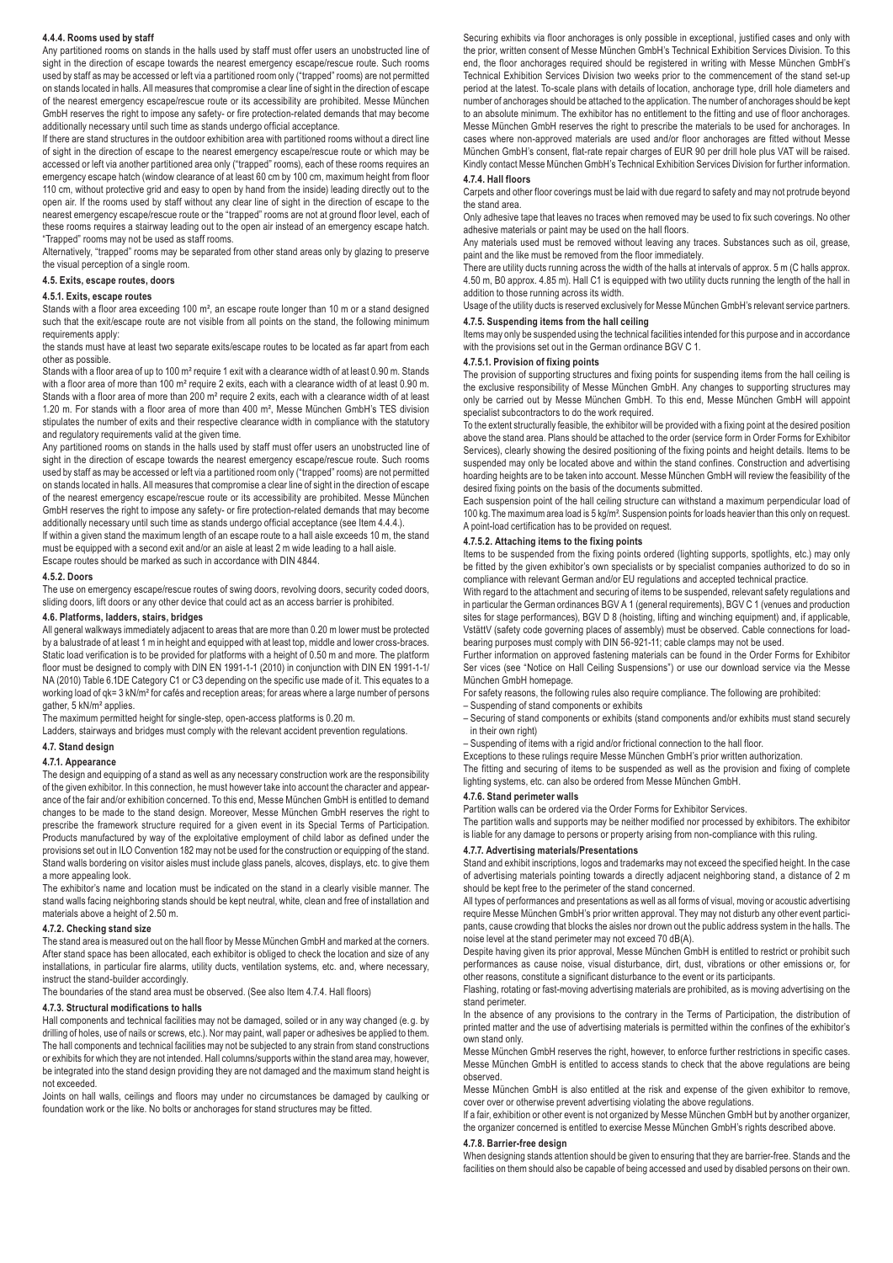#### **4.4.4. Rooms used by staff**

Any partitioned rooms on stands in the halls used by staff must offer users an unobstructed line of sight in the direction of escape towards the nearest emergency escape/rescue route. Such rooms used by staff as may be accessed or left via a partitioned room only ("trapped" rooms) are not permitted on stands located in halls. All measures that compromise a clear line of sight in the direction of escape of the nearest emergency escape/rescue route or its accessibility are prohibited. Messe München GmbH reserves the right to impose any safety- or fire protection-related demands that may become additionally necessary until such time as stands undergo official acceptance.

If there are stand structures in the outdoor exhibition area with partitioned rooms without a direct line of sight in the direction of escape to the nearest emergency escape/rescue route or which may be accessed or left via another partitioned area only ("trapped" rooms), each of these rooms requires an emergency escape hatch (window clearance of at least 60 cm by 100 cm, maximum height from floor 110 cm, without protective grid and easy to open by hand from the inside) leading directly out to the open air. If the rooms used by staff without any clear line of sight in the direction of escape to the nearest emergency escape/rescue route or the "trapped" rooms are not at ground floor level, each of these rooms requires a stairway leading out to the open air instead of an emergency escape hatch. "Trapped" rooms may not be used as staff rooms.

Alternatively, "trapped" rooms may be separated from other stand areas only by glazing to preserve the visual perception of a single room.

**4.5. Exits, escape routes, doors**

#### **4.5.1. Exits, escape routes**

Stands with a floor area exceeding 100 m<sup>2</sup>, an escape route longer than 10 m or a stand designed such that the exit/escape route are not visible from all points on the stand, the following minimum requirements apply:

the stands must have at least two separate exits/escape routes to be located as far apart from each other as possible.

Stands with a floor area of up to 100 m² require 1 exit with a clearance width of at least 0.90 m. Stands with a floor area of more than 100 m<sup>2</sup> require 2 exits, each with a clearance width of at least 0.90 m. Stands with a floor area of more than 200 m<sup>2</sup> require 2 exits, each with a clearance width of at least 1.20 m. For stands with a floor area of more than 400 m², Messe München GmbH's TES division stipulates the number of exits and their respective clearance width in compliance with the statutory and regulatory requirements valid at the given time.

Any partitioned rooms on stands in the halls used by staff must offer users an unobstructed line of sight in the direction of escape towards the nearest emergency escape/rescue route. Such rooms used by staff as may be accessed or left via a partitioned room only ("trapped" rooms) are not permitted on stands located in halls. All measures that compromise a clear line of sight in the direction of escape of the nearest emergency escape/rescue route or its accessibility are prohibited. Messe München GmbH reserves the right to impose any safety- or fire protection-related demands that may become additionally necessary until such time as stands undergo official acceptance (see Item 4.4.4.).

If within a given stand the maximum length of an escape route to a hall aisle exceeds 10 m, the stand must be equipped with a second exit and/or an aisle at least 2 m wide leading to a hall aisle. Escape routes should be marked as such in accordance with DIN 4844.

#### **4.5.2. Doors**

The use on emergency escape/rescue routes of swing doors, revolving doors, security coded doors, sliding doors, lift doors or any other device that could act as an access barrier is prohibited.

#### **4.6. Platforms, ladders, stairs, bridges**

All general walkways immediately adjacent to areas that are more than 0.20 m lower must be protected by a balustrade of at least 1 m in height and equipped with at least top, middle and lower cross-braces. Static load verification is to be provided for platforms with a height of 0.50 m and more. The platform floor must be designed to comply with DIN EN 1991-1-1 (2010) in conjunction with DIN EN 1991-1-1/ NA (2010) Table 6.1DE Category C1 or C3 depending on the specific use made of it. This equates to a working load of qk= 3 kN/m<sup>2</sup> for cafés and reception areas; for areas where a large number of persons gather, 5 kN/m<sup>2</sup> applies.

The maximum permitted height for single-step, open-access platforms is 0.20 m.

Ladders, stairways and bridges must comply with the relevant accident prevention regulations.

### **4.7. Stand design**

### **4.7.1. Appearance**

The design and equipping of a stand as well as any necessary construction work are the responsibility of the given exhibitor. In this connection, he must however take into account the character and appearance of the fair and/or exhibition concerned. To this end, Messe München GmbH is entitled to demand changes to be made to the stand design. Moreover, Messe München GmbH reserves the right to prescribe the framework structure required for a given event in its Special Terms of Participation. Products manufactured by way of the exploitative employment of child labor as defined under the provisions set out in ILO Convention 182 may not be used for the construction or equipping of the stand. Stand walls bordering on visitor aisles must include glass panels, alcoves, displays, etc. to give them a more appealing look.

The exhibitor's name and location must be indicated on the stand in a clearly visible manner. The stand walls facing neighboring stands should be kept neutral, white, clean and free of installation and materials above a height of 2.50 m.

### **4.7.2. Checking stand size**

The stand area is measured out on the hall floor by Messe München GmbH and marked at the corners. After stand space has been allocated, each exhibitor is obliged to check the location and size of any installations, in particular fire alarms, utility ducts, ventilation systems, etc. and, where necessary, instruct the stand-builder accordingly.

The boundaries of the stand area must be observed. (See also Item 4.7.4. Hall floors)

### **4.7.3. Structural modifications to halls**

Hall components and technical facilities may not be damaged, soiled or in any way changed (e. g. by drilling of holes, use of nails or screws, etc.). Nor may paint, wall paper or adhesives be applied to them. The hall components and technical facilities may not be subjected to any strain from stand constructions or exhibits for which they are not intended. Hall columns/supports within the stand area may, however, be integrated into the stand design providing they are not damaged and the maximum stand height is not exceeded.

Joints on hall walls, ceilings and floors may under no circumstances be damaged by caulking or foundation work or the like. No bolts or anchorages for stand structures may be fitted.

Securing exhibits via floor anchorages is only possible in exceptional, justified cases and only with the prior, written consent of Messe München GmbH's Technical Exhibition Services Division. To this end, the floor anchorages required should be registered in writing with Messe München GmbH's Technical Exhibition Services Division two weeks prior to the commencement of the stand set-up period at the latest. To-scale plans with details of location, anchorage type, drill hole diameters and number of anchorages should be attached to the application. The number of anchorages should be kept to an absolute minimum. The exhibitor has no entitlement to the fitting and use of floor anchorages. Messe München GmbH reserves the right to prescribe the materials to be used for anchorages. In cases where non-approved materials are used and/or floor anchorages are fitted without Messe München GmbH's consent, flat-rate repair charges of EUR 90 per drill hole plus VAT will be raised. Kindly contact Messe München GmbH's Technical Exhibition Services Division for further information. **4.7.4. Hall floors**

Carpets and other floor coverings must be laid with due regard to safety and may not protrude beyond the stand area.

Only adhesive tape that leaves no traces when removed may be used to fix such coverings. No other adhesive materials or paint may be used on the hall floors.

Any materials used must be removed without leaving any traces. Substances such as oil, grease, paint and the like must be removed from the floor immediately.

There are utility ducts running across the width of the halls at intervals of approx. 5 m (C halls approx. 4.50 m, B0 approx. 4.85 m). Hall C1 is equipped with two utility ducts running the length of the hall in addition to those running across its width.

Usage of the utility ducts is reserved exclusively for Messe München GmbH's relevant service partners. **4.7.5. Suspending items from the hall ceiling**

Items may only be suspended using the technical facilities intended for this purpose and in accordance with the provisions set out in the German ordinance BGV C 1.

#### **4.7.5.1. Provision of fixing points**

The provision of supporting structures and fixing points for suspending items from the hall ceiling is the exclusive responsibility of Messe München GmbH. Any changes to supporting structures may only be carried out by Messe München GmbH. To this end, Messe München GmbH will appoint specialist subcontractors to do the work required.

To the extent structurally feasible, the exhibitor will be provided with a fixing point at the desired position above the stand area. Plans should be attached to the order (service form in Order Forms for Exhibitor Services), clearly showing the desired positioning of the fixing points and height details. Items to be suspended may only be located above and within the stand confines. Construction and advertising hoarding heights are to be taken into account. Messe München GmbH will review the feasibility of the desired fixing points on the basis of the documents submitted.

Each suspension point of the hall ceiling structure can withstand a maximum perpendicular load of 100 kg. The maximum area load is 5 kg/m<sup>2</sup>. Suspension points for loads heavier than this only on request. A point-load certification has to be provided on request.

#### **4.7.5.2. Attaching items to the fixing points**

Items to be suspended from the fixing points ordered (lighting supports, spotlights, etc.) may only be fitted by the given exhibitor's own specialists or by specialist companies authorized to do so in compliance with relevant German and/or EU regulations and accepted technical practice.

With regard to the attachment and securing of items to be suspended, relevant safety regulations and in particular the German ordinances BGV A 1 (general requirements), BGV C 1 (venues and production sites for stage performances), BGV D 8 (hoisting, lifting and winching equipment) and, if applicable, VstättV (safety code governing places of assembly) must be observed. Cable connections for loadbearing purposes must comply with DIN 56-921-11; cable clamps may not be used.

Further information on approved fastening materials can be found in the Order Forms for Exhibitor Ser vices (see "Notice on Hall Ceiling Suspensions") or use our download service via the Messe München GmbH homepage.

For safety reasons, the following rules also require compliance. The following are prohibited:

– Suspending of stand components or exhibits

- Securing of stand components or exhibits (stand components and/or exhibits must stand securely in their own right)
- Suspending of items with a rigid and/or frictional connection to the hall floor.

Exceptions to these rulings require Messe München GmbH's prior written authorization. The fitting and securing of items to be suspended as well as the provision and fixing of complete lighting systems, etc. can also be ordered from Messe München GmbH.

#### **4.7.6. Stand perimeter walls**

Partition walls can be ordered via the Order Forms for Exhibitor Services.

The partition walls and supports may be neither modified nor processed by exhibitors. The exhibitor is liable for any damage to persons or property arising from non-compliance with this ruling.

#### **4.7.7. Advertising materials/Presentations**

Stand and exhibit inscriptions, logos and trademarks may not exceed the specified height. In the case of advertising materials pointing towards a directly adjacent neighboring stand, a distance of 2 m should be kept free to the perimeter of the stand concerned.

All types of performances and presentations as well as all forms of visual, moving or acoustic advertising require Messe München GmbH's prior written approval. They may not disturb any other event participants, cause crowding that blocks the aisles nor drown out the public address system in the halls. The noise level at the stand perimeter may not exceed 70 dB(A).

Despite having given its prior approval, Messe München GmbH is entitled to restrict or prohibit such performances as cause noise, visual disturbance, dirt, dust, vibrations or other emissions or, for other reasons, constitute a significant disturbance to the event or its participants.

Flashing, rotating or fast-moving advertising materials are prohibited, as is moving advertising on the stand perimeter

In the absence of any provisions to the contrary in the Terms of Participation, the distribution of printed matter and the use of advertising materials is permitted within the confines of the exhibitor's own stand only.

Messe München GmbH reserves the right, however, to enforce further restrictions in specific cases. Messe München GmbH is entitled to access stands to check that the above regulations are being observed.

Messe München GmbH is also entitled at the risk and expense of the given exhibitor to remove, cover over or otherwise prevent advertising violating the above regulations.

If a fair, exhibition or other event is not organized by Messe München GmbH but by another organizer, the organizer concerned is entitled to exercise Messe München GmbH's rights described above.

#### **4.7.8. Barrier-free design**

When designing stands attention should be given to ensuring that they are barrier-free. Stands and the facilities on them should also be capable of being accessed and used by disabled persons on their own.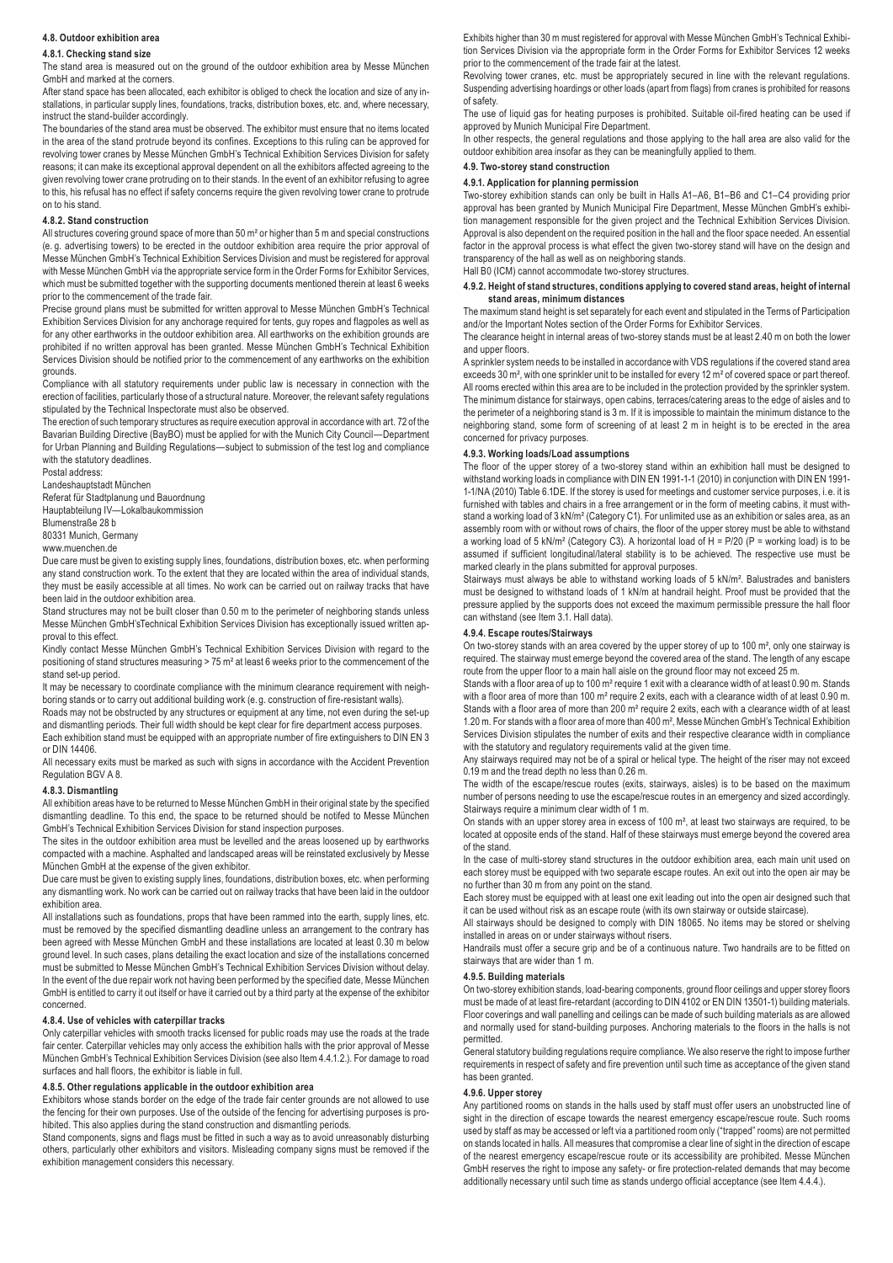#### **4.8. Outdoor exhibition area**

### **4.8.1. Checking stand size**

The stand area is measured out on the ground of the outdoor exhibition area by Messe München GmbH and marked at the corners.

After stand space has been allocated, each exhibitor is obliged to check the location and size of any installations, in particular supply lines, foundations, tracks, distribution boxes, etc. and, where necessary, instruct the stand-builder accordingly.

The boundaries of the stand area must be observed. The exhibitor must ensure that no items located in the area of the stand protrude beyond its confines. Exceptions to this ruling can be approved for revolving tower cranes by Messe München GmbH's Technical Exhibition Services Division for safety reasons; it can make its exceptional approval dependent on all the exhibitors affected agreeing to the given revolving tower crane protruding on to their stands. In the event of an exhibitor refusing to agree to this, his refusal has no effect if safety concerns require the given revolving tower crane to protrude on to his stand.

#### **4.8.2. Stand construction**

All structures covering ground space of more than 50 m² or higher than 5 m and special constructions (e. g. advertising towers) to be erected in the outdoor exhibition area require the prior approval of Messe München GmbH's Technical Exhibition Services Division and must be registered for approval with Messe München GmbH via the appropriate service form in the Order Forms for Exhibitor Services. which must be submitted together with the supporting documents mentioned therein at least 6 weeks prior to the commencement of the trade fair.

Precise ground plans must be submitted for written approval to Messe München GmbH's Technical Exhibition Services Division for any anchorage required for tents, guy ropes and flagpoles as well as for any other earthworks in the outdoor exhibition area. All earthworks on the exhibition grounds are prohibited if no written approval has been granted. Messe München GmbH's Technical Exhibition Services Division should be notified prior to the commencement of any earthworks on the exhibition grounds.

Compliance with all statutory requirements under public law is necessary in connection with the erection of facilities, particularly those of a structural nature. Moreover, the relevant safety regulations stipulated by the Technical Inspectorate must also be observed.

The erection of such temporary structures as require execution approval in accordance with art. 72 of the Bavarian Building Directive (BayBO) must be applied for with the Munich City Council—Department for Urban Planning and Building Regulations—subject to submission of the test log and compliance with the statutory deadlines.

## Postal address:

Landeshauptstadt München Referat für Stadtplanung und Bauordnung Hauptabteilung IV—Lokalbaukommission Blumenstraße 28 b

80331 Munich, Germany

www.muenchen.de

Due care must be given to existing supply lines, foundations, distribution boxes, etc. when performing any stand construction work. To the extent that they are located within the area of individual stands, they must be easily accessible at all times. No work can be carried out on railway tracks that have been laid in the outdoor exhibition area.

Stand structures may not be built closer than 0.50 m to the perimeter of neighboring stands unless Messe München GmbH'sTechnical Exhibition Services Division has exceptionally issued written approval to this effect.

.<br>Kindly contact Messe München GmbH's Technical Exhibition Services Division with regard to the positioning of stand structures measuring > 75 m² at least 6 weeks prior to the commencement of the stand set-up period.

It may be necessary to coordinate compliance with the minimum clearance requirement with neighboring stands or to carry out additional building work (e. g. construction of fire-resistant walls).

Roads may not be obstructed by any structures or equipment at any time, not even during the set-up and dismantling periods. Their full width should be kept clear for fire department access purposes. Each exhibition stand must be equipped with an appropriate number of fire extinguishers to DIN EN 3 or DIN 14406.

All necessary exits must be marked as such with signs in accordance with the Accident Prevention Regulation BGV A 8.

#### **4.8.3. Dismantling**

All exhibition areas have to be returned to Messe München GmbH in their original state by the specified dismantling deadline. To this end, the space to be returned should be notifed to Messe München GmbH's Technical Exhibition Services Division for stand inspection purposes.

The sites in the outdoor exhibition area must be levelled and the areas loosened up by earthworks compacted with a machine. Asphalted and landscaped areas will be reinstated exclusively by Messe München GmbH at the expense of the given exhibitor.

Due care must be given to existing supply lines, foundations, distribution boxes, etc. when performing any dismantling work. No work can be carried out on railway tracks that have been laid in the outdoor exhibition area.

All installations such as foundations, props that have been rammed into the earth, supply lines, etc. must be removed by the specified dismantling deadline unless an arrangement to the contrary has been agreed with Messe München GmbH and these installations are located at least 0.30 m below ground level. In such cases, plans detailing the exact location and size of the installations concerned must be submitted to Messe München GmbH's Technical Exhibition Services Division without delay. In the event of the due repair work not having been performed by the specified date, Messe München GmbH is entitled to carry it out itself or have it carried out by a third party at the expense of the exhibitor concerned.

#### **4.8.4. Use of vehicles with caterpillar tracks**

Only caterpillar vehicles with smooth tracks licensed for public roads may use the roads at the trade fair center. Caterpillar vehicles may only access the exhibition halls with the prior approval of Messe München GmbH's Technical Exhibition Services Division (see also Item 4.4.1.2.). For damage to road surfaces and hall floors, the exhibitor is liable in full.

#### **4.8.5. Other regulations applicable in the outdoor exhibition area**

Exhibitors whose stands border on the edge of the trade fair center grounds are not allowed to use the fencing for their own purposes. Use of the outside of the fencing for advertising purposes is prohibited. This also applies during the stand construction and dismantling periods.

Stand components, signs and flags must be fitted in such a way as to avoid unreasonably disturbing others, particularly other exhibitors and visitors. Misleading company signs must be removed if the exhibition management considers this necessary.

Exhibits higher than 30 m must registered for approval with Messe München GmbH's Technical Exhibition Services Division via the appropriate form in the Order Forms for Exhibitor Services 12 weeks prior to the commencement of the trade fair at the latest.

Revolving tower cranes, etc. must be appropriately secured in line with the relevant regulations. Suspending advertising hoardings or other loads (apart from flags) from cranes is prohibited for reasons of safety.

The use of liquid gas for heating purposes is prohibited. Suitable oil-fired heating can be used if approved by Munich Municipal Fire Department.

In other respects, the general regulations and those applying to the hall area are also valid for the outdoor exhibition area insofar as they can be meaningfully applied to them.

### **4.9. Two-storey stand construction**

### **4.9.1. Application for planning permission**

Two-storey exhibition stands can only be built in Halls A1–A6, B1–B6 and C1–C4 providing prior approval has been granted by Munich Municipal Fire Department, Messe München GmbH's exhibition management responsible for the given project and the Technical Exhibition Services Division. Approval is also dependent on the required position in the hall and the floor space needed. An essential factor in the approval process is what effect the given two-storey stand will have on the design and transparency of the hall as well as on neighboring stands.

Hall B0 (ICM) cannot accommodate two-storey structures.

#### **4.9.2. Height of stand structures, conditions applying to covered stand areas, height of internal stand areas, minimum distances**

The maximum stand height is set separately for each event and stipulated in the Terms of Participation and/or the Important Notes section of the Order Forms for Exhibitor Services.

The clearance height in internal areas of two-storey stands must be at least 2.40 m on both the lower and upper floors.

A sprinkler system needs to be installed in accordance with VDS regulations if the covered stand area exceeds 30 m<sup>2</sup>, with one sprinkler unit to be installed for every 12 m<sup>2</sup> of covered space or part thereof. All rooms erected within this area are to be included in the protection provided by the sprinkler system. The minimum distance for stairways, open cabins, terraces/catering areas to the edge of aisles and to the perimeter of a neighboring stand is 3 m. If it is impossible to maintain the minimum distance to the neighboring stand, some form of screening of at least 2 m in height is to be erected in the area concerned for privacy purposes.

#### **4.9.3. Working loads/Load assumptions**

The floor of the upper storey of a two-storey stand within an exhibition hall must be designed to withstand working loads in compliance with DIN EN 1991-1-1 (2010) in conjunction with DIN EN 1991- 1-1/NA (2010) Table 6.1DE. If the storey is used for meetings and customer service purposes, i. e. it is furnished with tables and chairs in a free arrangement or in the form of meeting cabins, it must withstand a working load of 3 kN/m² (Category C1). For unlimited use as an exhibition or sales area, as an assembly room with or without rows of chairs, the floor of the upper storey must be able to withstand a working load of 5 kN/m² (Category C3). A horizontal load of H = P/20 (P = working load) is to be assumed if sufficient longitudinal/lateral stability is to be achieved. The respective use must be marked clearly in the plans submitted for approval purposes.

Stairways must always be able to withstand working loads of 5 kN/m². Balustrades and banisters must be designed to withstand loads of 1 kN/m at handrail height. Proof must be provided that the pressure applied by the supports does not exceed the maximum permissible pressure the hall floor can withstand (see Item 3.1. Hall data).

### **4.9.4. Escape routes/Stairways**

On two-storey stands with an area covered by the upper storey of up to 100 m<sup>2</sup>, only one stairway is required. The stairway must emerge beyond the covered area of the stand. The length of any escape route from the upper floor to a main hall aisle on the ground floor may not exceed 25 m.

Stands with a floor area of up to 100 m<sup>2</sup> require 1 exit with a clearance width of at least 0.90 m. Stands with a floor area of more than 100 m<sup>2</sup> require 2 exits, each with a clearance width of at least 0.90 m. Stands with a floor area of more than 200 m<sup>2</sup> require 2 exits, each with a clearance width of at least 1.20 m. For stands with a floor area of more than 400 m², Messe München GmbH's Technical Exhibition Services Division stipulates the number of exits and their respective clearance width in compliance with the statutory and regulatory requirements valid at the given time.

Any stairways required may not be of a spiral or helical type. The height of the riser may not exceed 0.19 m and the tread depth no less than 0.26 m.

The width of the escape/rescue routes (exits, stairways, aisles) is to be based on the maximum number of persons needing to use the escape/rescue routes in an emergency and sized accordingly. Stairways require a minimum clear width of 1 m.

On stands with an upper storey area in excess of 100 m², at least two stairways are required, to be located at opposite ends of the stand. Half of these stairways must emerge beyond the covered area of the stand.

In the case of multi-storey stand structures in the outdoor exhibition area, each main unit used on each storey must be equipped with two separate escape routes. An exit out into the open air may be no further than 30 m from any point on the stand.

Each storey must be equipped with at least one exit leading out into the open air designed such that it can be used without risk as an escape route (with its own stairway or outside staircase).

All stairways should be designed to comply with DIN 18065. No items may be stored or shelving installed in areas on or under stairways without risers.

Handrails must offer a secure grip and be of a continuous nature. Two handrails are to be fitted on stairways that are wider than 1 m.

#### **4.9.5. Building materials**

On two-storey exhibition stands, load-bearing components, ground floor ceilings and upper storey floors must be made of at least fire-retardant (according to DIN 4102 or EN DIN 13501-1) building materials. Floor coverings and wall panelling and ceilings can be made of such building materials as are allowed and normally used for stand-building purposes. Anchoring materials to the floors in the halls is not permitted.

.<br>General statutory building regulations require compliance. We also reserve the right to impose further requirements in respect of safety and fire prevention until such time as acceptance of the given stand has been granted.

#### **4.9.6. Upper storey**

Any partitioned rooms on stands in the halls used by staff must offer users an unobstructed line of sight in the direction of escape towards the nearest emergency escape/rescue route. Such rooms used by staff as may be accessed or left via a partitioned room only ("trapped" rooms) are not permitted on stands located in halls. All measures that compromise a clear line of sight in the direction of escape of the nearest emergency escape/rescue route or its accessibility are prohibited. Messe München GmbH reserves the right to impose any safety- or fire protection-related demands that may become additionally necessary until such time as stands undergo official acceptance (see Item 4.4.4.).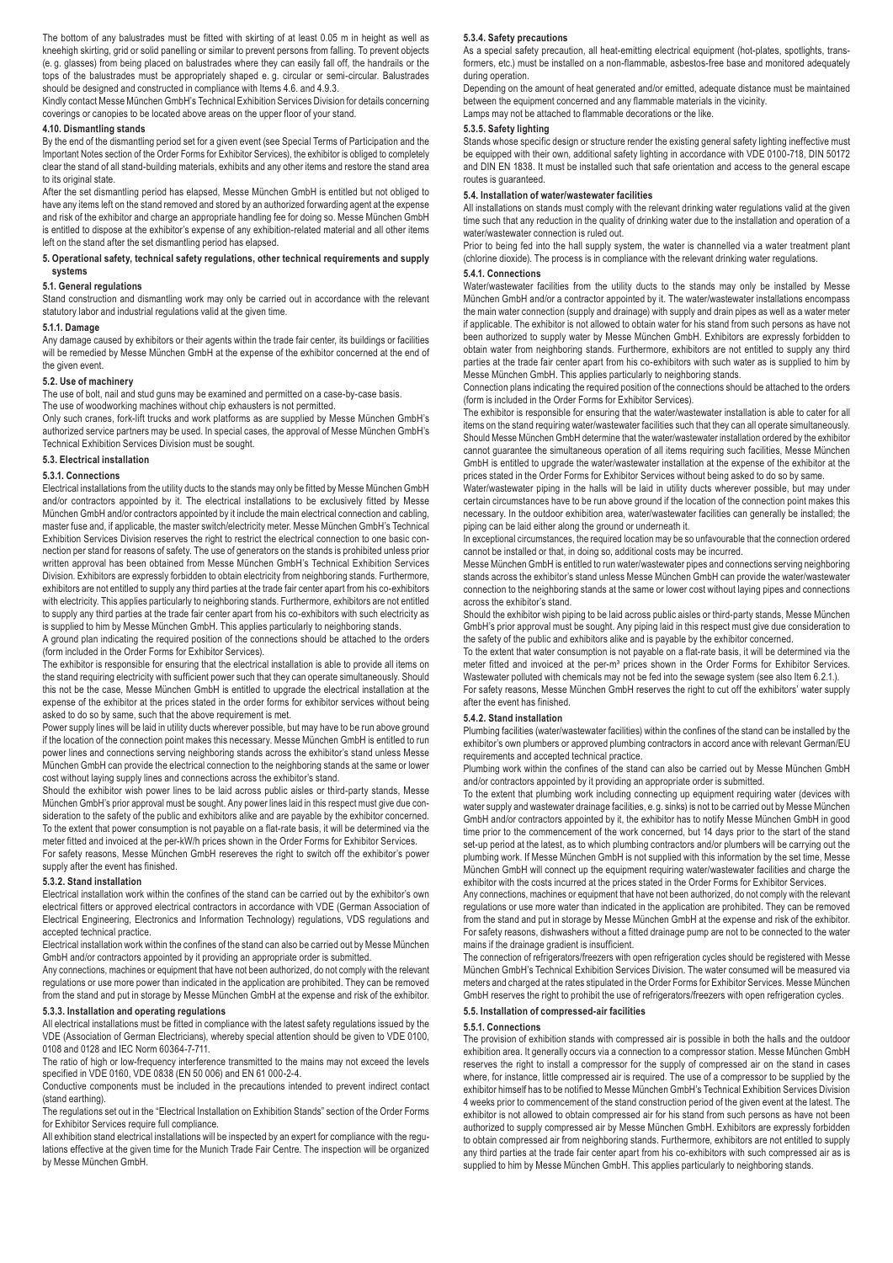The bottom of any balustrades must be fitted with skirting of at least 0.05 m in height as well as kneehigh skirting, grid or solid panelling or similar to prevent persons from falling. To prevent objects (e. g. glasses) from being placed on balustrades where they can easily fall off, the handrails or the tops of the balustrades must be appropriately shaped e. g. circular or semi-circular. Balustrades should be designed and constructed in compliance with Items 4.6. and 4.9.3.

Kindly contact Messe München GmbH's Technical Exhibition Services Division for details concerning coverings or canopies to be located above areas on the upper floor of your stand.

## **4.10. Dismantling stands**

By the end of the dismantling period set for a given event (see Special Terms of Participation and the Important Notes section of the Order Forms for Exhibitor Services), the exhibitor is obliged to completely clear the stand of all stand-building materials, exhibits and any other items and restore the stand area to its original state.

After the set dismantling period has elapsed, Messe München GmbH is entitled but not obliged to have any items left on the stand removed and stored by an authorized forwarding agent at the expense and risk of the exhibitor and charge an appropriate handling fee for doing so. Messe München GmbH is entitled to dispose at the exhibitor's expense of any exhibition-related material and all other items left on the stand after the set dismantling period has elapsed.

#### **5. Operational safety, technical safety regulations, other technical requirements and supply systems**

#### **5.1. General regulations**

Stand construction and dismantling work may only be carried out in accordance with the relevant statutory labor and industrial regulations valid at the given time.

#### **5.1.1. Damage**

Any damage caused by exhibitors or their agents within the trade fair center, its buildings or facilities will be remedied by Messe München GmbH at the expense of the exhibitor concerned at the end of the given event.

### **5.2. Use of machinery**

The use of bolt, nail and stud guns may be examined and permitted on a case-by-case basis.

The use of woodworking machines without chip exhausters is not permitted. Only such cranes, fork-lift trucks and work platforms as are supplied by Messe München GmbH's authorized service partners may be used. In special cases, the approval of Messe München GmbH's Technical Exhibition Services Division must be sought.

### **5.3. Electrical installation**

#### **5.3.1. Connections**

Electrical installations from the utility ducts to the stands may only be fitted by Messe München GmbH and/or contractors appointed by it. The electrical installations to be exclusively fitted by Messe München GmbH and/or contractors appointed by it include the main electrical connection and cabling, master fuse and, if applicable, the master switch/electricity meter. Messe München GmbH's Technical Exhibition Services Division reserves the right to restrict the electrical connection to one basic connection per stand for reasons of safety. The use of generators on the stands is prohibited unless prior written approval has been obtained from Messe München GmbH's Technical Exhibition Services Division. Exhibitors are expressly forbidden to obtain electricity from neighboring stands. Furthermore, exhibitors are not entitled to supply any third parties at the trade fair center apart from his co-exhibitors with electricity. This applies particularly to neighboring stands. Furthermore, exhibitors are not entitled to supply any third parties at the trade fair center apart from his co-exhibitors with such electricity as is supplied to him by Messe München GmbH. This applies particularly to neighboring stands.

A ground plan indicating the required position of the connections should be attached to the orders (form included in the Order Forms for Exhibitor Services).

The exhibitor is responsible for ensuring that the electrical installation is able to provide all items on the stand requiring electricity with sufficient power such that they can operate simultaneously. Should this not be the case, Messe München GmbH is entitled to upgrade the electrical installation at the expense of the exhibitor at the prices stated in the order forms for exhibitor services without being asked to do so by same, such that the above requirement is met.

Power supply lines will be laid in utility ducts wherever possible, but may have to be run above ground if the location of the connection point makes this necessary. Messe München GmbH is entitled to run power lines and connections serving neighboring stands across the exhibitor's stand unless Messe München GmbH can provide the electrical connection to the neighboring stands at the same or lower cost without laying supply lines and connections across the exhibitor's stand.

Should the exhibitor wish power lines to be laid across public aisles or third-party stands, Messe München GmbH's prior approval must be sought. Any power lines laid in this respect must give due consideration to the safety of the public and exhibitors alike and are payable by the exhibitor concerned. To the extent that power consumption is not payable on a flat-rate basis, it will be determined via the meter fitted and invoiced at the per-kW/h prices shown in the Order Forms for Exhibitor Services. For safety reasons, Messe München GmbH resereves the right to switch off the exhibitor's power supply after the event has finished.

#### **5.3.2. Stand installation**

Electrical installation work within the confines of the stand can be carried out by the exhibitor's own electrical fitters or approved electrical contractors in accordance with VDE (German Association of Electrical Engineering, Electronics and Information Technology) regulations, VDS regulations and accepted technical practice.

Electrical installation work within the confines of the stand can also be carried out by Messe München GmbH and/or contractors appointed by it providing an appropriate order is submitted.

Any connections, machines or equipment that have not been authorized, do not comply with the relevant regulations or use more power than indicated in the application are prohibited. They can be removed from the stand and put in storage by Messe München GmbH at the expense and risk of the exhibitor.

### **5.3.3. Installation and operating regulations**

All electrical installations must be fitted in compliance with the latest safety regulations issued by the VDE (Association of German Electricians), whereby special attention should be given to VDE 0100, 0108 and 0128 and IEC Norm 60364-7-711.

The ratio of high or low-frequency interference transmitted to the mains may not exceed the levels specified in VDE 0160, VDE 0838 (EN 50 006) and EN 61 000-2-4.

Conductive components must be included in the precautions intended to prevent indirect contact (stand earthing).

The regulations set out in the "Electrical Installation on Exhibition Stands" section of the Order Forms for Exhibitor Services require full compliance.

All exhibition stand electrical installations will be inspected by an expert for compliance with the regulations effective at the given time for the Munich Trade Fair Centre. The inspection will be organized by Messe München GmbH.

#### **5.3.4. Safety precautions**

As a special safety precaution, all heat-emitting electrical equipment (hot-plates, spotlights, transformers, etc.) must be installed on a non-flammable, asbestos-free base and monitored adequately during operation.

Depending on the amount of heat generated and/or emitted, adequate distance must be maintained between the equipment concerned and any flammable materials in the vicinity. Lamps may not be attached to flammable decorations or the like.

#### **5.3.5. Safety lighting**

Stands whose specific design or structure render the existing general safety lighting ineffective must be equipped with their own, additional safety lighting in accordance with VDE 0100-718, DIN 50172 and DIN EN 1838. It must be installed such that safe orientation and access to the general escape routes is guaranteed.

### **5.4. Installation of water/wastewater facilities**

All installations on stands must comply with the relevant drinking water regulations valid at the given time such that any reduction in the quality of drinking water due to the installation and operation of a water/wastewater connection is ruled out.

Prior to being fed into the hall supply system, the water is channelled via a water treatment plant (chlorine dioxide). The process is in compliance with the relevant drinking water regulations.

### **5.4.1. Connections**

Water/wastewater facilities from the utility ducts to the stands may only be installed by Messe München GmbH and/or a contractor appointed by it. The water/wastewater installations encompass the main water connection (supply and drainage) with supply and drain pipes as well as a water meter if applicable. The exhibitor is not allowed to obtain water for his stand from such persons as have not been authorized to supply water by Messe München GmbH. Exhibitors are expressly forbidden to obtain water from neighboring stands. Furthermore, exhibitors are not entitled to supply any third parties at the trade fair center apart from his co-exhibitors with such water as is supplied to him by Messe München GmbH. This applies particularly to neighboring stands.

Connection plans indicating the required position of the connections should be attached to the orders (form is included in the Order Forms for Exhibitor Services).

The exhibitor is responsible for ensuring that the water/wastewater installation is able to cater for all items on the stand requiring water/wastewater facilities such that they can all operate simultaneously. Should Messe München GmbH determine that the water/wastewater installation ordered by the exhibitor cannot guarantee the simultaneous operation of all items requiring such facilities, Messe München GmbH is entitled to upgrade the water/wastewater installation at the expense of the exhibitor at the prices stated in the Order Forms for Exhibitor Services without being asked to do so by same.

Water/wastewater piping in the halls will be laid in utility ducts wherever possible, but may under certain circumstances have to be run above ground if the location of the connection point makes this necessary. In the outdoor exhibition area, water/wastewater facilities can generally be installed; the piping can be laid either along the ground or underneath it.

In exceptional circumstances, the required location may be so unfavourable that the connection ordered cannot be installed or that, in doing so, additional costs may be incurred.

Messe München GmbH is entitled to run water/wastewater pipes and connections serving neighboring stands across the exhibitor's stand unless Messe München GmbH can provide the water/wastewater connection to the neighboring stands at the same or lower cost without laying pipes and connections across the exhibitor's stand.

Should the exhibitor wish piping to be laid across public aisles or third-party stands, Messe München GmbH's prior approval must be sought. Any piping laid in this respect must give due consideration to the safety of the public and exhibitors alike and is payable by the exhibitor concerned.

To the extent that water consumption is not payable on a flat-rate basis, it will be determined via the meter fitted and invoiced at the per-m<sup>3</sup> prices shown in the Order Forms for Exhibitor Services. Wastewater polluted with chemicals may not be fed into the sewage system (see also Item 6.2.1.).

For safety reasons, Messe München GmbH reserves the right to cut off the exhibitors' water supply after the event has finished.

### **5.4.2. Stand installation**

Plumbing facilities (water/wastewater facilities) within the confines of the stand can be installed by the exhibitor's own plumbers or approved plumbing contractors in accord ance with relevant German/EU requirements and accepted technical practice.

Plumbing work within the confines of the stand can also be carried out by Messe München GmbH and/or contractors appointed by it providing an appropriate order is submitted.

To the extent that plumbing work including connecting up equipment requiring water (devices with water supply and wastewater drainage facilities, e. g. sinks) is not to be carried out by Messe München GmbH and/or contractors appointed by it, the exhibitor has to notify Messe München GmbH in good time prior to the commencement of the work concerned, but 14 days prior to the start of the stand set-up period at the latest, as to which plumbing contractors and/or plumbers will be carrying out the plumbing work. If Messe München GmbH is not supplied with this information by the set time, Messe München GmbH will connect up the equipment requiring water/wastewater facilities and charge the exhibitor with the costs incurred at the prices stated in the Order Forms for Exhibitor Services.

Any connections, machines or equipment that have not been authorized, do not comply with the relevant regulations or use more water than indicated in the application are prohibited. They can be removed from the stand and put in storage by Messe München GmbH at the expense and risk of the exhibitor. For safety reasons, dishwashers without a fitted drainage pump are not to be connected to the water mains if the drainage gradient is insufficient.

The connection of refrigerators/freezers with open refrigeration cycles should be registered with Messe München GmbH's Technical Exhibition Services Division. The water consumed will be measured via meters and charged at the rates stipulated in the Order Forms for Exhibitor Services. Messe München GmbH reserves the right to prohibit the use of refrigerators/freezers with open refrigeration cycles.

### **5.5. Installation of compressed-air facilities**

### **5.5.1. Connections**

The provision of exhibition stands with compressed air is possible in both the halls and the outdoor exhibition area. It generally occurs via a connection to a compressor station. Messe München GmbH reserves the right to install a compressor for the supply of compressed air on the stand in cases where, for instance, little compressed air is required. The use of a compressor to be supplied by the exhibitor himself has to be notified to Messe München GmbH's Technical Exhibition Services Division 4 weeks prior to commencement of the stand construction period of the given event at the latest. The exhibitor is not allowed to obtain compressed air for his stand from such persons as have not been authorized to supply compressed air by Messe München GmbH. Exhibitors are expressly forbidden to obtain compressed air from neighboring stands. Furthermore, exhibitors are not entitled to supply any third parties at the trade fair center apart from his co-exhibitors with such compressed air as is supplied to him by Messe München GmbH. This applies particularly to neighboring stands.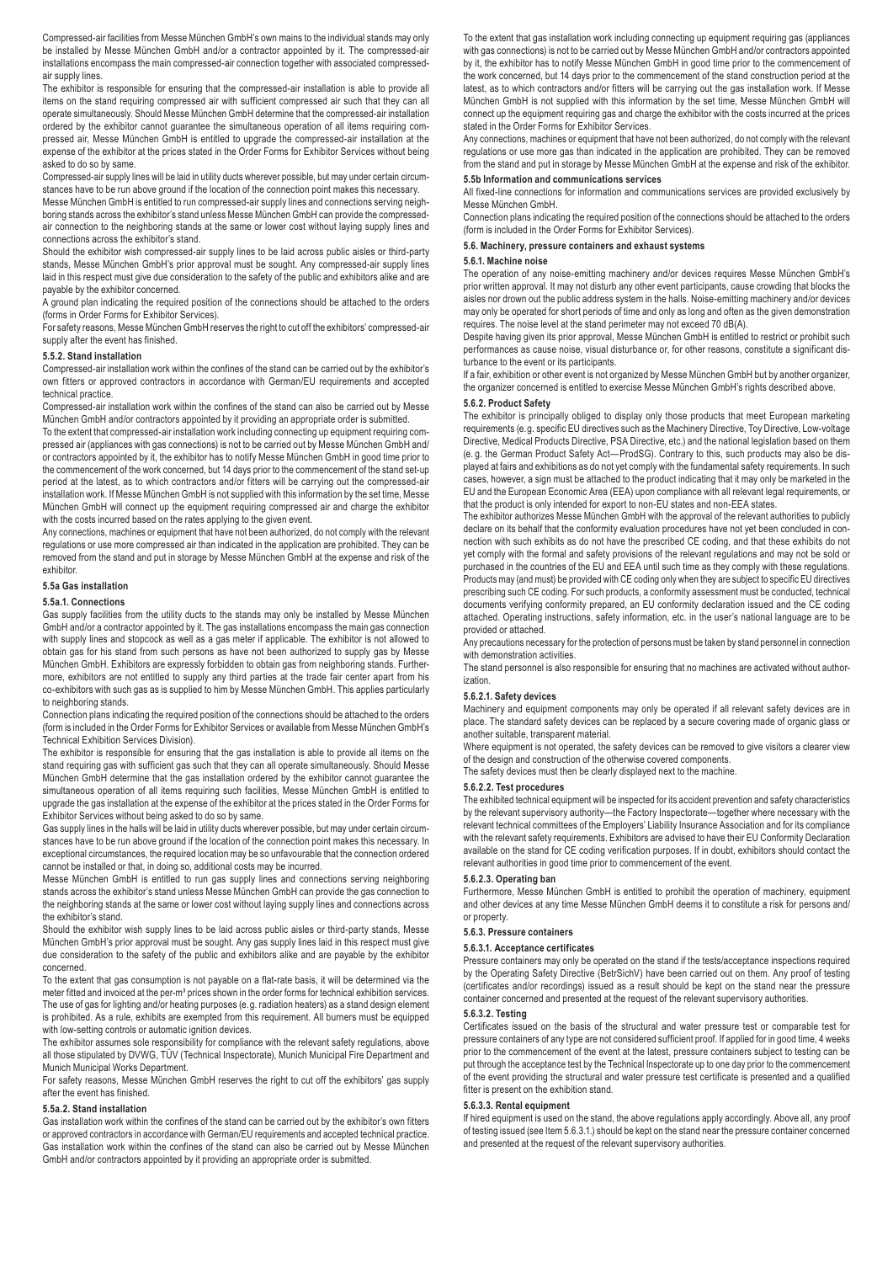Compressed-air facilities from Messe München GmbH's own mains to the individual stands may only be installed by Messe München GmbH and/or a contractor appointed by it. The compressed-air installations encompass the main compressed-air connection together with associated compressedair supply lines.

The exhibitor is responsible for ensuring that the compressed-air installation is able to provide all items on the stand requiring compressed air with sufficient compressed air such that they can all operate simultaneously. Should Messe München GmbH determine that the compressed-air installation ordered by the exhibitor cannot guarantee the simultaneous operation of all items requiring compressed air, Messe München GmbH is entitled to upgrade the compressed-air installation at the expense of the exhibitor at the prices stated in the Order Forms for Exhibitor Services without being asked to do so by same.

Compressed-air supply lines will be laid in utility ducts wherever possible, but may under certain circumstances have to be run above ground if the location of the connection point makes this necessary.

Messe München GmbH is entitled to run compressed-air supply lines and connections serving neighboring stands across the exhibitor's stand unless Messe München GmbH can provide the compressedair connection to the neighboring stands at the same or lower cost without laying supply lines and connections across the exhibitor's stand.

Should the exhibitor wish compressed-air supply lines to be laid across public aisles or third-party stands, Messe München GmbH's prior approval must be sought. Any compressed-air supply lines laid in this respect must give due consideration to the safety of the public and exhibitors alike and are payable by the exhibitor concerned.

A ground plan indicating the required position of the connections should be attached to the orders (forms in Order Forms for Exhibitor Services).

For safety reasons, Messe München GmbH reserves the right to cut off the exhibitors' compressed-air supply after the event has finished.

#### **5.5.2. Stand installation**

Compressed-air installation work within the confines of the stand can be carried out by the exhibitor's own fitters or approved contractors in accordance with German/EU requirements and accepted technical practice.

Compressed-air installation work within the confines of the stand can also be carried out by Messe München GmbH and/or contractors appointed by it providing an appropriate order is submitted.

To the extent that compressed-air installation work including connecting up equipment requiring compressed air (appliances with gas connections) is not to be carried out by Messe München GmbH and/ or contractors appointed by it, the exhibitor has to notify Messe München GmbH in good time prior to the commencement of the work concerned, but 14 days prior to the commencement of the stand set-up period at the latest, as to which contractors and/or fitters will be carrying out the compressed-air installation work. If Messe München GmbH is not supplied with this information by the set time, Messe München GmbH will connect up the equipment requiring compressed air and charge the exhibitor with the costs incurred based on the rates applying to the given event.

Any connections, machines or equipment that have not been authorized, do not comply with the relevant regulations or use more compressed air than indicated in the application are prohibited. They can be removed from the stand and put in storage by Messe München GmbH at the expense and risk of the exhibitor.

## **5.5a Gas installation**

### **5.5a.1. Connections**

Gas supply facilities from the utility ducts to the stands may only be installed by Messe München GmbH and/or a contractor appointed by it. The gas installations encompass the main gas connection with supply lines and stopcock as well as a gas meter if applicable. The exhibitor is not allowed to obtain gas for his stand from such persons as have not been authorized to supply gas by Messe München GmbH. Exhibitors are expressly forbidden to obtain gas from neighboring stands. Furthermore, exhibitors are not entitled to supply any third parties at the trade fair center apart from his co-exhibitors with such gas as is supplied to him by Messe München GmbH. This applies particularly to neighboring stands.

Connection plans indicating the required position of the connections should be attached to the orders (form is included in the Order Forms for Exhibitor Services or available from Messe München GmbH's Technical Exhibition Services Division).

The exhibitor is responsible for ensuring that the gas installation is able to provide all items on the stand requiring gas with sufficient gas such that they can all operate simultaneously. Should Messe München GmbH determine that the gas installation ordered by the exhibitor cannot guarantee the simultaneous operation of all items requiring such facilities, Messe München GmbH is entitled to upgrade the gas installation at the expense of the exhibitor at the prices stated in the Order Forms for Exhibitor Services without being asked to do so by same.

Gas supply lines in the halls will be laid in utility ducts wherever possible, but may under certain circumstances have to be run above ground if the location of the connection point makes this necessary. In exceptional circumstances, the required location may be so unfavourable that the connection ordered cannot be installed or that, in doing so, additional costs may be incurred.

Messe München GmbH is entitled to run gas supply lines and connections serving neighboring stands across the exhibitor's stand unless Messe München GmbH can provide the gas connection to the neighboring stands at the same or lower cost without laying supply lines and connections across the exhibitor's stand.

Should the exhibitor wish supply lines to be laid across public aisles or third-party stands, Messe München GmbH's prior approval must be sought. Any gas supply lines laid in this respect must give due consideration to the safety of the public and exhibitors alike and are payable by the exhibitor concerned.

To the extent that gas consumption is not payable on a flat-rate basis, it will be determined via the meter fitted and invoiced at the per-m<sup>3</sup> prices shown in the order forms for technical exhibition services. The use of gas for lighting and/or heating purposes (e. g. radiation heaters) as a stand design element is prohibited. As a rule, exhibits are exempted from this requirement. All burners must be equipped with low-setting controls or automatic ignition devices.

The exhibitor assumes sole responsibility for compliance with the relevant safety regulations, above all those stipulated by DVWG, TÜV (Technical Inspectorate), Munich Municipal Fire Department and Munich Municipal Works Department.

For safety reasons, Messe München GmbH reserves the right to cut off the exhibitors' gas supply after the event has finished.

### **5.5a.2. Stand installation**

Gas installation work within the confines of the stand can be carried out by the exhibitor's own fitters or approved contractors in accordance with German/EU requirements and accepted technical practice. Gas installation work within the confines of the stand can also be carried out by Messe München GmbH and/or contractors appointed by it providing an appropriate order is submitted.

To the extent that gas installation work including connecting up equipment requiring gas (appliances with gas connections) is not to be carried out by Messe München GmbH and/or contractors appointed by it, the exhibitor has to notify Messe München GmbH in good time prior to the commencement of the work concerned, but 14 days prior to the commencement of the stand construction period at the latest, as to which contractors and/or fitters will be carrying out the gas installation work. If Messe München GmbH is not supplied with this information by the set time, Messe München GmbH will connect up the equipment requiring gas and charge the exhibitor with the costs incurred at the prices stated in the Order Forms for Exhibitor Services.

Any connections, machines or equipment that have not been authorized, do not comply with the relevant regulations or use more gas than indicated in the application are prohibited. They can be removed from the stand and put in storage by Messe München GmbH at the expense and risk of the exhibitor.

## **5.5b Information and communications services**

All fixed-line connections for information and communications services are provided exclusively by Messe München GmbH.

Connection plans indicating the required position of the connections should be attached to the orders (form is included in the Order Forms for Exhibitor Services).

### **5.6. Machinery, pressure containers and exhaust systems**

#### **5.6.1. Machine noise**

The operation of any noise-emitting machinery and/or devices requires Messe München GmbH's prior written approval. It may not disturb any other event participants, cause crowding that blocks the aisles nor drown out the public address system in the halls. Noise-emitting machinery and/or devices may only be operated for short periods of time and only as long and often as the given demonstration requires. The noise level at the stand perimeter may not exceed 70 dB(A).

Despite having given its prior approval, Messe München GmbH is entitled to restrict or prohibit such performances as cause noise, visual disturbance or, for other reasons, constitute a significant disturbance to the event or its participants.

If a fair, exhibition or other event is not organized by Messe München GmbH but by another organizer, the organizer concerned is entitled to exercise Messe München GmbH's rights described above.

#### **5.6.2. Product Safety**

The exhibitor is principally obliged to display only those products that meet European marketing requirements (e. g. specific EU directives such as the Machinery Directive, Toy Directive, Low-voltage Directive, Medical Products Directive, PSA Directive, etc.) and the national legislation based on them (e. g. the German Product Safety Act—ProdSG). Contrary to this, such products may also be displayed at fairs and exhibitions as do not yet comply with the fundamental safety requirements. In such cases, however, a sign must be attached to the product indicating that it may only be marketed in the EU and the European Economic Area (EEA) upon compliance with all relevant legal requirements, or that the product is only intended for export to non-EU states and non-EEA states.

The exhibitor authorizes Messe München GmbH with the approval of the relevant authorities to publicly declare on its behalf that the conformity evaluation procedures have not yet been concluded in connection with such exhibits as do not have the prescribed CE coding, and that these exhibits do not yet comply with the formal and safety provisions of the relevant regulations and may not be sold or purchased in the countries of the EU and EEA until such time as they comply with these regulations. Products may (and must) be provided with CE coding only when they are subject to specific EU directives prescribing such CE coding. For such products, a conformity assessment must be conducted, technical documents verifying conformity prepared, an EU conformity declaration issued and the CE coding attached. Operating instructions, safety information, etc. in the user's national language are to be provided or attached.

Any precautions necessary for the protection of persons must be taken by stand personnel in connection with demonstration activities.

The stand personnel is also responsible for ensuring that no machines are activated without authorization.

#### **5.6.2.1. Safety devices**

Machinery and equipment components may only be operated if all relevant safety devices are in place. The standard safety devices can be replaced by a secure covering made of organic glass or another suitable, transparent material.

Where equipment is not operated, the safety devices can be removed to give visitors a clearer view of the design and construction of the otherwise covered components.

The safety devices must then be clearly displayed next to the machine.

#### **5.6.2.2. Test procedures**

The exhibited technical equipment will be inspected for its accident prevention and safety characteristics by the relevant supervisory authority—the Factory Inspectorate—together where necessary with the relevant technical committees of the Employers' Liability Insurance Association and for its compliance with the relevant safety requirements. Exhibitors are advised to have their EU Conformity Declaration available on the stand for CE coding verification purposes. If in doubt, exhibitors should contact the relevant authorities in good time prior to commencement of the event.

#### **5.6.2.3. Operating ban**

Furthermore, Messe München GmbH is entitled to prohibit the operation of machinery, equipment and other devices at any time Messe München GmbH deems it to constitute a risk for persons and/ or property.

#### **5.6.3. Pressure containers**

#### **5.6.3.1. Acceptance certificates**

Pressure containers may only be operated on the stand if the tests/acceptance inspections required by the Operating Safety Directive (BetrSichV) have been carried out on them. Any proof of testing (certificates and/or recordings) issued as a result should be kept on the stand near the pressure container concerned and presented at the request of the relevant supervisory authorities.

#### **5.6.3.2. Testing**

Certificates issued on the basis of the structural and water pressure test or comparable test for pressure containers of any type are not considered sufficient proof. If applied for in good time, 4 weeks prior to the commencement of the event at the latest, pressure containers subject to testing can be put through the acceptance test by the Technical Inspectorate up to one day prior to the commencement of the event providing the structural and water pressure test certificate is presented and a qualified fitter is present on the exhibition stand.

#### **5.6.3.3. Rental equipment**

If hired equipment is used on the stand, the above regulations apply accordingly. Above all, any proof of testing issued (see Item 5.6.3.1.) should be kept on the stand near the pressure container concerned and presented at the request of the relevant supervisory authorities.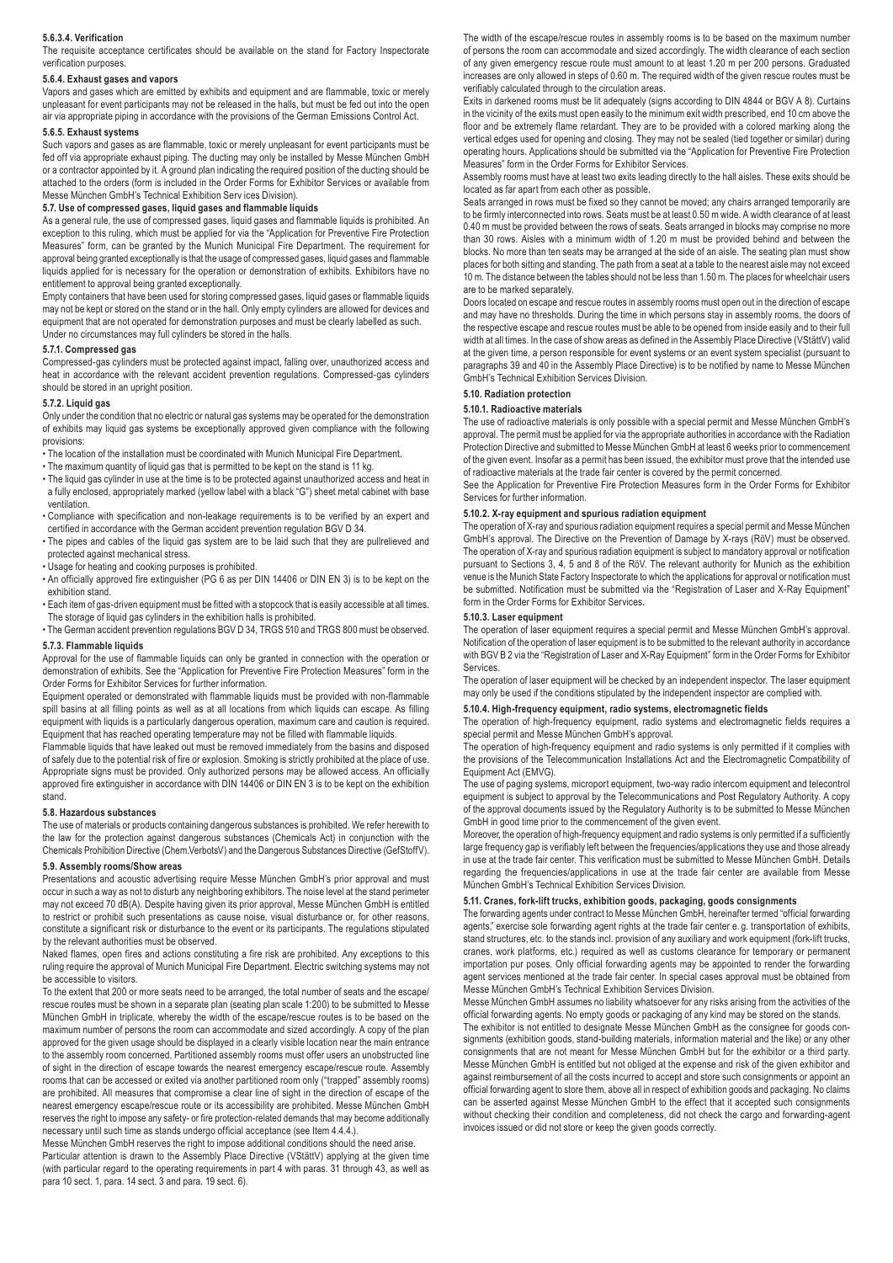#### **5.6.3.4. Verification**

The requisite acceptance certificates should be available on the stand for Factory Inspectorate verification purposes.

#### **5.6.4. Exhaust gases and vapors**

Vapors and gases which are emitted by exhibits and equipment and are flammable, toxic or merely unpleasant for event participants may not be released in the halls, but must be fed out into the open air via appropriate piping in accordance with the provisions of the German Emissions Control Act.

### **5.6.5. Exhaust systems**

Such vapors and gases as are flammable, toxic or merely unpleasant for event participants must be fed off via appropriate exhaust piping. The ducting may only be installed by Messe München GmbH or a contractor appointed by it. A ground plan indicating the required position of the ducting should be attached to the orders (form is included in the Order Forms for Exhibitor Services or available from Messe München GmbH's Technical Exhibition Serv ices Division).

#### **5.7. Use of compressed gases, liquid gases and flammable liquids**

As a general rule, the use of compressed gases, liquid gases and flammable liquids is prohibited. An exception to this ruling, which must be applied for via the "Application for Preventive Fire Protection Measures" form, can be granted by the Munich Municipal Fire Department. The requirement for approval being granted exceptionally is that the usage of compressed gases, liquid gases and flammable liquids applied for is necessary for the operation or demonstration of exhibits. Exhibitors have no entitlement to approval being granted exceptionally.

Empty containers that have been used for storing compressed gases, liquid gases or flammable liquids may not be kept or stored on the stand or in the hall. Only empty cylinders are allowed for devices and equipment that are not operated for demonstration purposes and must be clearly labelled as such. Under no circumstances may full cylinders be stored in the halls.

#### **5.7.1. Compressed gas**

Compressed-gas cylinders must be protected against impact, falling over, unauthorized access and heat in accordance with the relevant accident prevention regulations. Compressed-gas cylinders should be stored in an upright position.

### **5.7.2. Liquid gas**

Only under the condition that no electric or natural gas systems may be operated for the demonstration of exhibits may liquid gas systems be exceptionally approved given compliance with the following provisions:

- The location of the installation must be coordinated with Munich Municipal Fire Department.
- The maximum quantity of liquid gas that is permitted to be kept on the stand is 11 kg.
- The liquid gas cylinder in use at the time is to be protected against unauthorized access and heat in a fully enclosed, appropriately marked (yellow label with a black "G") sheet metal cabinet with base ventilation.
- Compliance with specification and non-leakage requirements is to be verified by an expert and certified in accordance with the German accident prevention regulation BGV D 34.
- The pipes and cables of the liquid gas system are to be laid such that they are pullrelieved and protected against mechanical stress.
- Usage for heating and cooking purposes is prohibited.
- An officially approved fire extinguisher (PG 6 as per DIN 14406 or DIN EN 3) is to be kept on the exhibition stand.
- Each item of gas-driven equipment must be fitted with a stopcock that is easily accessible at all times. The storage of liquid gas cylinders in the exhibition halls is prohibited.

• The German accident prevention regulations BGV D 34, TRGS 510 and TRGS 800 must be observed. **5.7.3. Flammable liquids**

Approval for the use of flammable liquids can only be granted in connection with the operation or demonstration of exhibits. See the "Application for Preventive Fire Protection Measures" form in the Order Forms for Exhibitor Services for further information.

Equipment operated or demonstrated with flammable liquids must be provided with non-flammable spill basins at all filling points as well as at all locations from which liquids can escape. As filling equipment with liquids is a particularly dangerous operation, maximum care and caution is required. Equipment that has reached operating temperature may not be filled with flammable liquids.

Flammable liquids that have leaked out must be removed immediately from the basins and disposed of safely due to the potential risk of fire or explosion. Smoking is strictly prohibited at the place of use. Appropriate signs must be provided. Only authorized persons may be allowed access. An officially approved fire extinguisher in accordance with DIN 14406 or DIN EN 3 is to be kept on the exhibition stand.

#### **5.8. Hazardous substances**

The use of materials or products containing dangerous substances is prohibited. We refer herewith to the law for the protection against dangerous substances (Chemicals Act) in conjunction with the Chemicals Prohibition Directive (Chem.VerbotsV) and the Dangerous Substances Directive (GefStoffV).

### **5.9. Assembly rooms/Show areas**

Presentations and acoustic advertising require Messe München GmbH's prior approval and must occur in such a way as not to disturb any neighboring exhibitors. The noise level at the stand perimeter may not exceed 70 dB(A). Despite having given its prior approval, Messe München GmbH is entitled to restrict or prohibit such presentations as cause noise, visual disturbance or, for other reasons constitute a significant risk or disturbance to the event or its participants. The regulations stipulated by the relevant authorities must be observed.

Naked flames, open fires and actions constituting a fire risk are prohibited. Any exceptions to this ruling require the approval of Munich Municipal Fire Department. Electric switching systems may not be accessible to visitors.

To the extent that 200 or more seats need to be arranged, the total number of seats and the escape/ rescue routes must be shown in a separate plan (seating plan scale 1:200) to be submitted to Messe München GmbH in triplicate, whereby the width of the escape/rescue routes is to be based on the maximum number of persons the room can accommodate and sized accordingly. A copy of the plan approved for the given usage should be displayed in a clearly visible location near the main entrance to the assembly room concerned. Partitioned assembly rooms must offer users an unobstructed line of sight in the direction of escape towards the nearest emergency escape/rescue route. Assembly rooms that can be accessed or exited via another partitioned room only ("trapped" assembly rooms) are prohibited. All measures that compromise a clear line of sight in the direction of escape of the nearest emergency escape/rescue route or its accessibility are prohibited. Messe München GmbH reserves the right to impose any safety- or fire protection-related demands that may become additionally necessary until such time as stands undergo official acceptance (see Item 4.4.4.).

Messe München GmbH reserves the right to impose additional conditions should the need arise. Particular attention is drawn to the Assembly Place Directive (VStättV) applying at the given time (with particular regard to the operating requirements in part 4 with paras. 31 through 43, as well as para 10 sect. 1, para. 14 sect. 3 and para. 19 sect. 6).

The width of the escape/rescue routes in assembly rooms is to be based on the maximum number of persons the room can accommodate and sized accordingly. The width clearance of each section of any given emergency rescue route must amount to at least 1.20 m per 200 persons. Graduated increases are only allowed in steps of 0.60 m. The required width of the given rescue routes must be verifiably calculated through to the circulation areas.

Exits in darkened rooms must be lit adequately (signs according to DIN 4844 or BGV A 8). Curtains in the vicinity of the exits must open easily to the minimum exit width prescribed, end 10 cm above the floor and be extremely flame retardant. They are to be provided with a colored marking along the vertical edges used for opening and closing. They may not be sealed (tied together or similar) during operating hours. Applications should be submitted via the "Application for Preventive Fire Protection Measures" form in the Order Forms for Exhibitor Services.

Assembly rooms must have at least two exits leading directly to the hall aisles. These exits should be located as far apart from each other as possible.

Seats arranged in rows must be fixed so they cannot be moved; any chairs arranged temporarily are to be firmly interconnected into rows. Seats must be at least 0.50 m wide. A width clearance of at least 0.40 m must be provided between the rows of seats. Seats arranged in blocks may comprise no more than 30 rows. Aisles with a minimum width of 1.20 m must be provided behind and between the blocks. No more than ten seats may be arranged at the side of an aisle. The seating plan must show places for both sitting and standing. The path from a seat at a table to the nearest aisle may not exceed .<br>10 m. The distance between the tables should not be less than 1.50 m. The places for wheelchair users are to be marked separately.

Doors located on escape and rescue routes in assembly rooms must open out in the direction of escape and may have no thresholds. During the time in which persons stay in assembly rooms, the doors of the respective escape and rescue routes must be able to be opened from inside easily and to their full width at all times. In the case of show areas as defined in the Assembly Place Directive (VStättV) valid at the given time, a person responsible for event systems or an event system specialist (pursuant to paragraphs 39 and 40 in the Assembly Place Directive) is to be notified by name to Messe München GmbH's Technical Exhibition Services Division.

#### **5.10. Radiation protection**

#### **5.10.1. Radioactive materials**

The use of radioactive materials is only possible with a special permit and Messe München GmbH's approval. The permit must be applied for via the appropriate authorities in accordance with the Radiation Protection Directive and submitted to Messe München GmbH at least 6 weeks prior to commencement of the given event. Insofar as a permit has been issued, the exhibitor must prove that the intended use of radioactive materials at the trade fair center is covered by the permit concerned.

See the Application for Preventive Fire Protection Measures form in the Order Forms for Exhibitor Services for further information.

#### **5.10.2. X-ray equipment and spurious radiation equipment**

The operation of X-ray and spurious radiation equipment requires a special permit and Messe München GmbH's approval. The Directive on the Prevention of Damage by X-rays (RöV) must be observed. The operation of X-ray and spurious radiation equipment is subject to mandatory approval or notification pursuant to Sections 3, 4, 5 and 8 of the RöV. The relevant authority for Munich as the exhibition venue is the Munich State Factory Inspectorate to which the applications for approval or notification must be submitted. Notification must be submitted via the "Registration of Laser and X-Ray Equipment" form in the Order Forms for Exhibitor Services.

#### **5.10.3. Laser equipment**

The operation of laser equipment requires a special permit and Messe München GmbH's approval. Notification of the operation of laser equipment is to be submitted to the relevant authority in accordance with BGV B 2 via the "Registration of Laser and X-Ray Equipment" form in the Order Forms for Exhibitor **Services** 

The operation of laser equipment will be checked by an independent inspector. The laser equipment may only be used if the conditions stipulated by the independent inspector are complied with.

#### **5.10.4. High-frequency equipment, radio systems, electromagnetic fields**

The operation of high-frequency equipment, radio systems and electromagnetic fields requires a special permit and Messe München GmbH's approval.

The operation of high-frequency equipment and radio systems is only permitted if it complies with the provisions of the Telecommunication Installations Act and the Electromagnetic Compatibility of Equipment Act (EMVG).

The use of paging systems, microport equipment, two-way radio intercom equipment and telecontrol equipment is subject to approval by the Telecommunications and Post Regulatory Authority. A copy of the approval documents issued by the Regulatory Authority is to be submitted to Messe München GmbH in good time prior to the commencement of the given event.

Moreover, the operation of high-frequency equipment and radio systems is only permitted if a sufficiently large frequency gap is verifiably left between the frequencies/applications they use and those already in use at the trade fair center. This verification must be submitted to Messe München GmbH. Details regarding the frequencies/applications in use at the trade fair center are available from Messe München GmbH's Technical Exhibition Services Division.

#### **5.11. Cranes, fork-lift trucks, exhibition goods, packaging, goods consignments**

The forwarding agents under contract to Messe München GmbH, hereinafter termed "official forwarding agents," exercise sole forwarding agent rights at the trade fair center e. g. transportation of exhibits, stand structures, etc. to the stands incl. provision of any auxiliary and work equipment (fork-lift trucks, cranes, work platforms, etc.) required as well as customs clearance for temporary or permanent importation pur poses. Only official forwarding agents may be appointed to render the forwarding agent services mentioned at the trade fair center. In special cases approval must be obtained from Messe München GmbH's Technical Exhibition Services Division.

Messe München GmbH assumes no liability whatsoever for any risks arising from the activities of the official forwarding agents. No empty goods or packaging of any kind may be stored on the stands.

The exhibitor is not entitled to designate Messe München GmbH as the consignee for goods consignments (exhibition goods, stand-building materials, information material and the like) or any other consignments that are not meant for Messe München GmbH but for the exhibitor or a third party. Messe München GmbH is entitled but not obliged at the expense and risk of the given exhibitor and against reimbursement of all the costs incurred to accept and store such consignments or appoint an official forwarding agent to store them, above all in respect of exhibition goods and packaging. No claims can be asserted against Messe München GmbH to the effect that it accepted such consignments without checking their condition and completeness, did not check the cargo and forwarding-agent invoices issued or did not store or keep the given goods correctly.